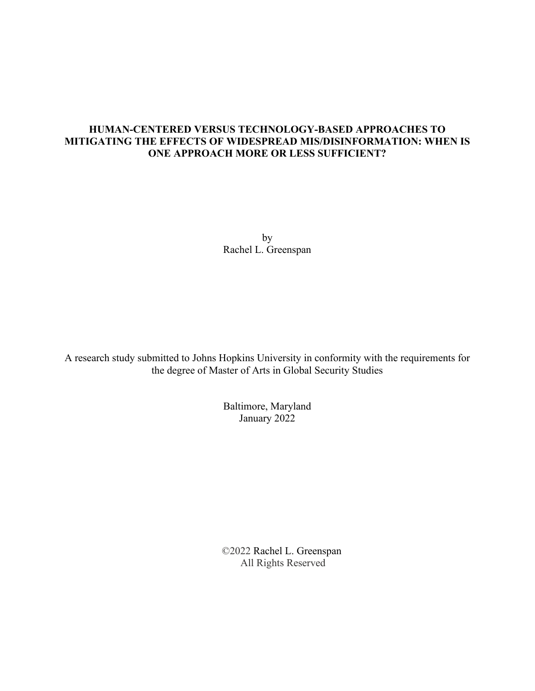## **HUMAN-CENTERED VERSUS TECHNOLOGY-BASED APPROACHES TO MITIGATING THE EFFECTS OF WIDESPREAD MIS/DISINFORMATION: WHEN IS ONE APPROACH MORE OR LESS SUFFICIENT?**

by Rachel L. Greenspan

A research study submitted to Johns Hopkins University in conformity with the requirements for the degree of Master of Arts in Global Security Studies

> Baltimore, Maryland January 2022

 ©2022 Rachel L. Greenspan All Rights Reserved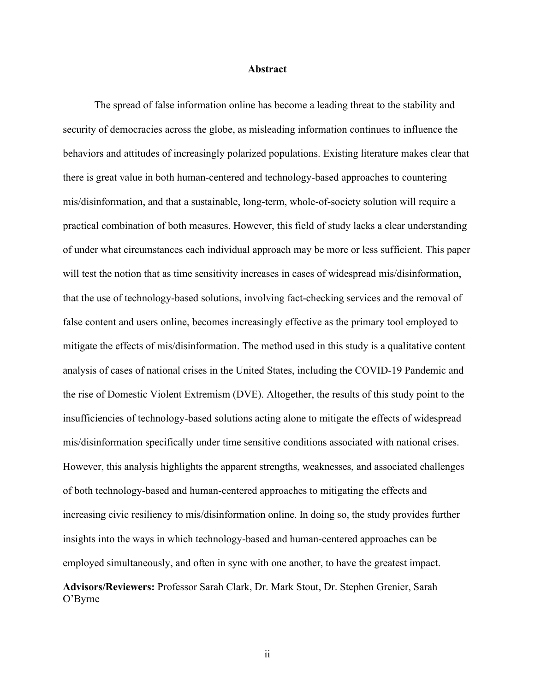### **Abstract**

The spread of false information online has become a leading threat to the stability and security of democracies across the globe, as misleading information continues to influence the behaviors and attitudes of increasingly polarized populations. Existing literature makes clear that there is great value in both human-centered and technology-based approaches to countering mis/disinformation, and that a sustainable, long-term, whole-of-society solution will require a practical combination of both measures. However, this field of study lacks a clear understanding of under what circumstances each individual approach may be more or less sufficient. This paper will test the notion that as time sensitivity increases in cases of widespread mis/disinformation, that the use of technology-based solutions, involving fact-checking services and the removal of false content and users online, becomes increasingly effective as the primary tool employed to mitigate the effects of mis/disinformation. The method used in this study is a qualitative content analysis of cases of national crises in the United States, including the COVID-19 Pandemic and the rise of Domestic Violent Extremism (DVE). Altogether, the results of this study point to the insufficiencies of technology-based solutions acting alone to mitigate the effects of widespread mis/disinformation specifically under time sensitive conditions associated with national crises. However, this analysis highlights the apparent strengths, weaknesses, and associated challenges of both technology-based and human-centered approaches to mitigating the effects and increasing civic resiliency to mis/disinformation online. In doing so, the study provides further insights into the ways in which technology-based and human-centered approaches can be employed simultaneously, and often in sync with one another, to have the greatest impact. **Advisors/Reviewers:** Professor Sarah Clark, Dr. Mark Stout, Dr. Stephen Grenier, Sarah O'Byrne

ii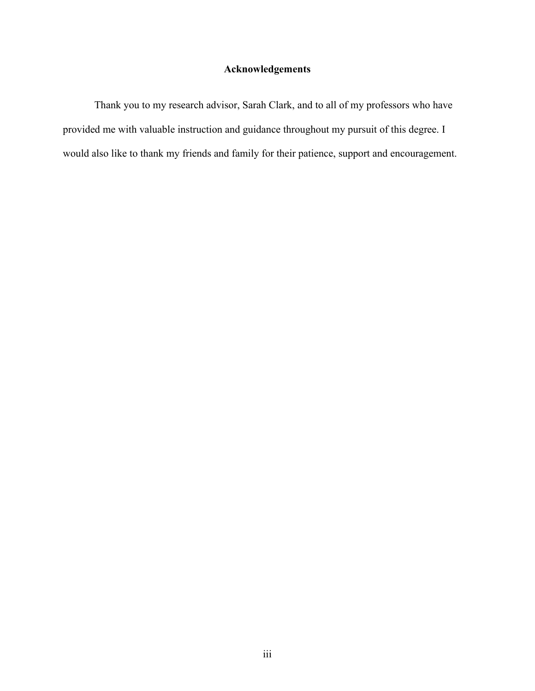## **Acknowledgements**

Thank you to my research advisor, Sarah Clark, and to all of my professors who have provided me with valuable instruction and guidance throughout my pursuit of this degree. I would also like to thank my friends and family for their patience, support and encouragement.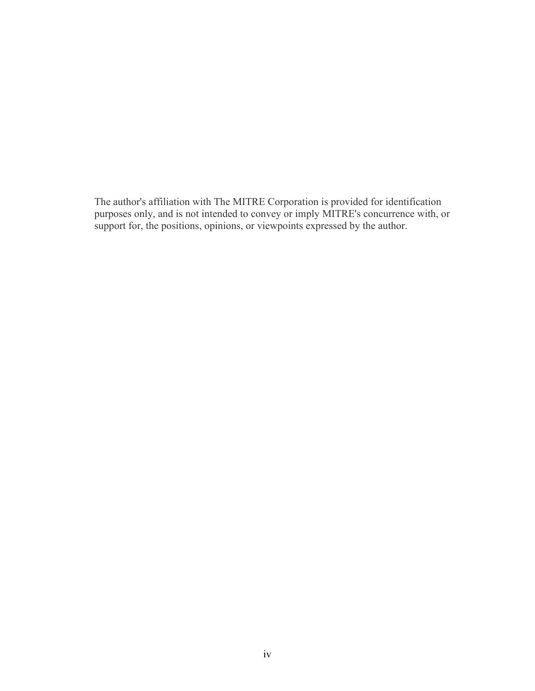The author's affiliation with The MITRE Corporation is provided for identification purposes only, and is not intended to convey or imply MITRE's concurrence with, or support for, the positions, opinions, or viewpoints expressed by the author.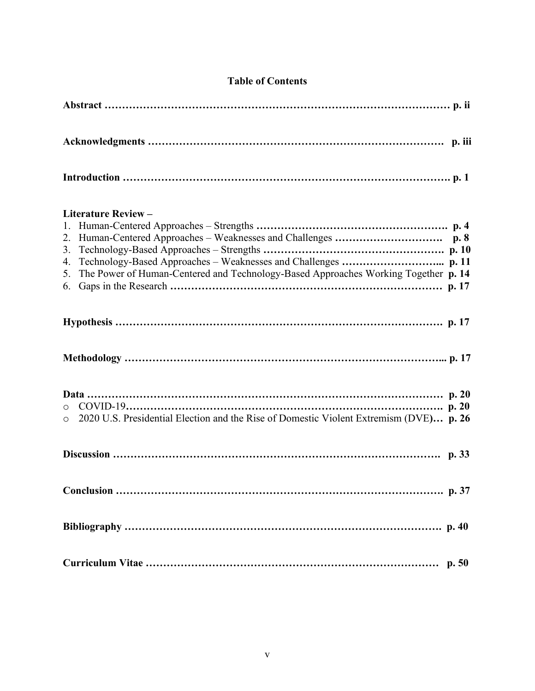## **Table of Contents**

| <b>Literature Review -</b>                                                                                 |
|------------------------------------------------------------------------------------------------------------|
| 2.<br>3.<br>4.<br>The Power of Human-Centered and Technology-Based Approaches Working Together p. 14<br>5. |
|                                                                                                            |
|                                                                                                            |
| o 2020 U.S. Presidential Election and the Rise of Domestic Violent Extremism (DVE) p. 26                   |
|                                                                                                            |
| Conclusion                                                                                                 |
|                                                                                                            |
|                                                                                                            |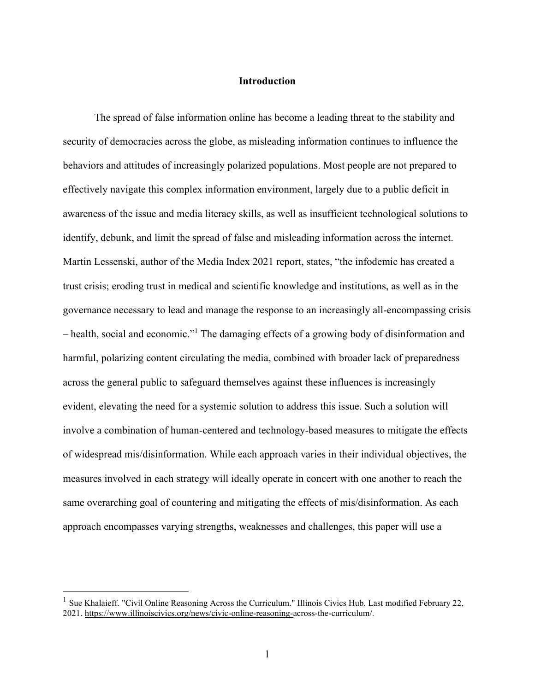## **Introduction**

The spread of false information online has become a leading threat to the stability and security of democracies across the globe, as misleading information continues to influence the behaviors and attitudes of increasingly polarized populations. Most people are not prepared to effectively navigate this complex information environment, largely due to a public deficit in awareness of the issue and media literacy skills, as well as insufficient technological solutions to identify, debunk, and limit the spread of false and misleading information across the internet. Martin Lessenski, author of the Media Index 2021 report, states, "the infodemic has created a trust crisis; eroding trust in medical and scientific knowledge and institutions, as well as in the governance necessary to lead and manage the response to an increasingly all-encompassing crisis – health, social and economic."<sup>1</sup> The damaging effects of a growing body of disinformation and harmful, polarizing content circulating the media, combined with broader lack of preparedness across the general public to safeguard themselves against these influences is increasingly evident, elevating the need for a systemic solution to address this issue. Such a solution will involve a combination of human-centered and technology-based measures to mitigate the effects of widespread mis/disinformation. While each approach varies in their individual objectives, the measures involved in each strategy will ideally operate in concert with one another to reach the same overarching goal of countering and mitigating the effects of mis/disinformation. As each approach encompasses varying strengths, weaknesses and challenges, this paper will use a

<sup>&</sup>lt;sup>1</sup> Sue Khalaieff. "Civil Online Reasoning Across the Curriculum." Illinois Civics Hub. Last modified February 22, 2021. [https://www.illinoiscivics.org/news/civic-online-reasoning-a](https://www.illinoiscivics.org/news/civic-online-reasoning-)cross-the-curriculum/.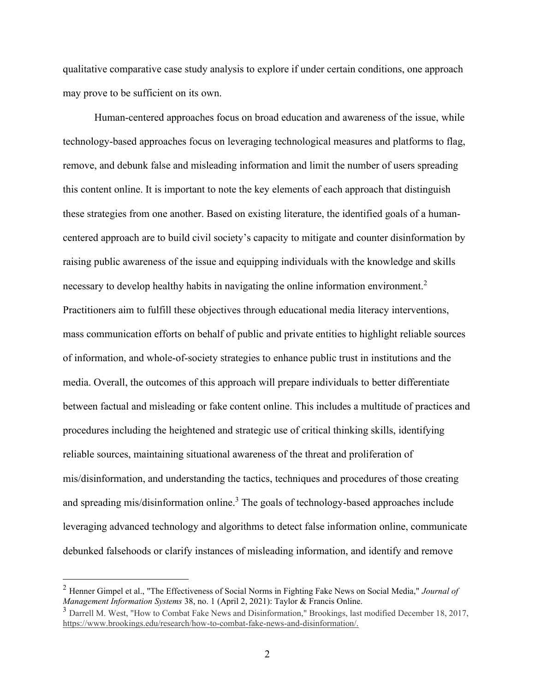qualitative comparative case study analysis to explore if under certain conditions, one approach may prove to be sufficient on its own.

Human-centered approaches focus on broad education and awareness of the issue, while technology-based approaches focus on leveraging technological measures and platforms to flag, remove, and debunk false and misleading information and limit the number of users spreading this content online. It is important to note the key elements of each approach that distinguish these strategies from one another. Based on existing literature, the identified goals of a humancentered approach are to build civil society's capacity to mitigate and counter disinformation by raising public awareness of the issue and equipping individuals with the knowledge and skills necessary to develop healthy habits in navigating the online information environment.<sup>2</sup> Practitioners aim to fulfill these objectives through educational media literacy interventions, mass communication efforts on behalf of public and private entities to highlight reliable sources of information, and whole-of-society strategies to enhance public trust in institutions and the media. Overall, the outcomes of this approach will prepare individuals to better differentiate between factual and misleading or fake content online. This includes a multitude of practices and procedures including the heightened and strategic use of critical thinking skills, identifying reliable sources, maintaining situational awareness of the threat and proliferation of mis/disinformation, and understanding the tactics, techniques and procedures of those creating and spreading mis/disinformation online.<sup>3</sup> The goals of technology-based approaches include leveraging advanced technology and algorithms to detect false information online, communicate debunked falsehoods or clarify instances of misleading information, and identify and remove

<sup>2</sup> Henner Gimpel et al., "The Effectiveness of Social Norms in Fighting Fake News on Social Media," *Journal of Management Information Systems* 38, no. 1 (April 2, 2021): Taylor & Francis Online.

<sup>&</sup>lt;sup>3</sup> Darrell M. West, "How to Combat Fake News and Disinformation," Brookings, last modified December 18, 2017, [https://www.brookings.edu/research/how-to-combat-fake-news-and-disinformation/.](https://www.brookings.edu/research/how-to-combat-fake-news-and-disinformation/)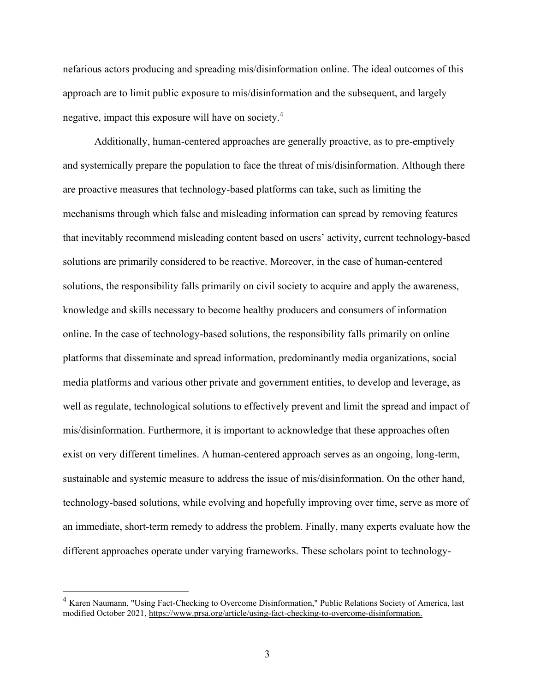nefarious actors producing and spreading mis/disinformation online. The ideal outcomes of this approach are to limit public exposure to mis/disinformation and the subsequent, and largely negative, impact this exposure will have on society.<sup>4</sup>

Additionally, human-centered approaches are generally proactive, as to pre-emptively and systemically prepare the population to face the threat of mis/disinformation. Although there are proactive measures that technology-based platforms can take, such as limiting the mechanisms through which false and misleading information can spread by removing features that inevitably recommend misleading content based on users' activity, current technology-based solutions are primarily considered to be reactive. Moreover, in the case of human-centered solutions, the responsibility falls primarily on civil society to acquire and apply the awareness, knowledge and skills necessary to become healthy producers and consumers of information online. In the case of technology-based solutions, the responsibility falls primarily on online platforms that disseminate and spread information, predominantly media organizations, social media platforms and various other private and government entities, to develop and leverage, as well as regulate, technological solutions to effectively prevent and limit the spread and impact of mis/disinformation. Furthermore, it is important to acknowledge that these approaches often exist on very different timelines. A human-centered approach serves as an ongoing, long-term, sustainable and systemic measure to address the issue of mis/disinformation. On the other hand, technology-based solutions, while evolving and hopefully improving over time, serve as more of an immediate, short-term remedy to address the problem. Finally, many experts evaluate how the different approaches operate under varying frameworks. These scholars point to technology-

<sup>&</sup>lt;sup>4</sup> Karen Naumann, "Using Fact-Checking to Overcome Disinformation," Public Relations Society of America, last modified October 2021,<https://www.prsa.org/article/using-fact-checking-to-overcome-disinformation.>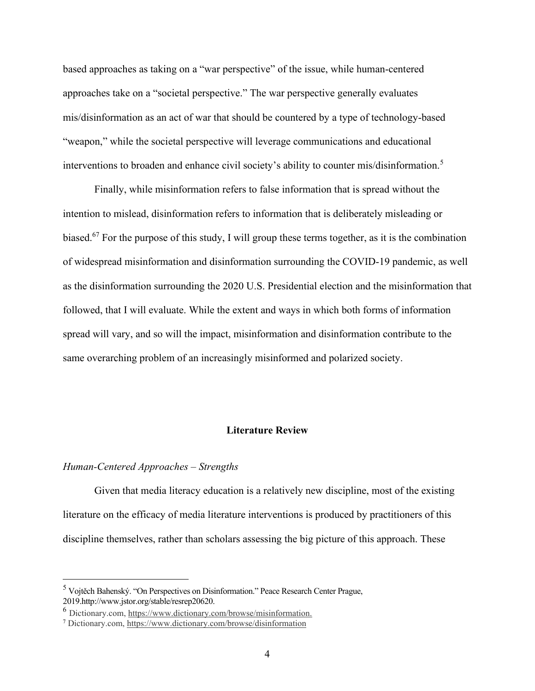based approaches as taking on a "war perspective" of the issue, while human-centered approaches take on a "societal perspective." The war perspective generally evaluates mis/disinformation as an act of war that should be countered by a type of technology-based "weapon," while the societal perspective will leverage communications and educational interventions to broaden and enhance civil society's ability to counter mis/disinformation.<sup>5</sup>

Finally, while misinformation refers to false information that is spread without the intention to mislead, disinformation refers to information that is deliberately misleading or biased.<sup>67</sup> For the purpose of this study, I will group these terms together, as it is the combination of widespread misinformation and disinformation surrounding the COVID-19 pandemic, as well as the disinformation surrounding the 2020 U.S. Presidential election and the misinformation that followed, that I will evaluate. While the extent and ways in which both forms of information spread will vary, and so will the impact, misinformation and disinformation contribute to the same overarching problem of an increasingly misinformed and polarized society.

## **Literature Review**

#### *Human-Centered Approaches – Strengths*

Given that media literacy education is a relatively new discipline, most of the existing literature on the efficacy of media literature interventions is produced by practitioners of this discipline themselves, rather than scholars assessing the big picture of this approach. These

<sup>5</sup> Vojtěch Bahenský. "On Perspectives on Disinformation." Peace Research Center Prague, 2019.http://www.jstor.org/stable/resrep20620.

<sup>6</sup> [Dictionary.com,](http://dictionary.com/) <https://www.dictionary.com/browse/misinformation.>

<sup>7</sup> [Dictionary.com,](http://dictionary.com/) https://www.dictionary.com/browse/disinformation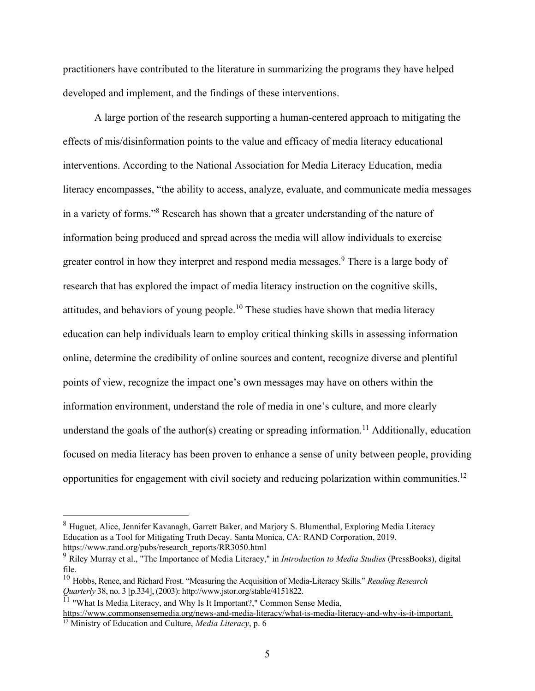practitioners have contributed to the literature in summarizing the programs they have helped developed and implement, and the findings of these interventions.

A large portion of the research supporting a human-centered approach to mitigating the effects of mis/disinformation points to the value and efficacy of media literacy educational interventions. According to the National Association for Media Literacy Education, media literacy encompasses, "the ability to access, analyze, evaluate, and communicate media messages in a variety of forms."<sup>8</sup> Research has shown that a greater understanding of the nature of information being produced and spread across the media will allow individuals to exercise greater control in how they interpret and respond media messages.<sup>9</sup> There is a large body of research that has explored the impact of media literacy instruction on the cognitive skills, attitudes, and behaviors of young people.<sup>10</sup> These studies have shown that media literacy education can help individuals learn to employ critical thinking skills in assessing information online, determine the credibility of online sources and content, recognize diverse and plentiful points of view, recognize the impact one's own messages may have on others within the information environment, understand the role of media in one's culture, and more clearly understand the goals of the author(s) creating or spreading information.<sup>11</sup> Additionally, education focused on media literacy has been proven to enhance a sense of unity between people, providing opportunities for engagement with civil society and reducing polarization within communities.<sup>12</sup>

<sup>8</sup> Huguet, Alice, Jennifer Kavanagh, Garrett Baker, and Marjory S. Blumenthal, Exploring Media Literacy Education as a Tool for Mitigating Truth Decay. Santa Monica, CA: RAND Corporation, 2019. https://www.rand.org/pubs/research\_reports/RR3050.html

<sup>9</sup> Riley Murray et al., "The Importance of Media Literacy," in *Introduction to Media Studies* (PressBooks), digital file.

<sup>10</sup> Hobbs, Renee, and Richard Frost. "Measuring the Acquisition of Media-Literacy Skills." *Reading Research Quarterly* 38, no. 3 [p.334], (2003): http://www.jstor.org/stable/4151822.

<sup>&</sup>lt;sup>11</sup> "What Is Media Literacy, and Why Is It Important?," Common Sense Media, <https://www.commonsensemedia.org/news-and-media-literacy/what-is-media-literacy-and-why-is-it-important.>

<sup>12</sup> Ministry of Education and Culture, *Media Literacy*, p. 6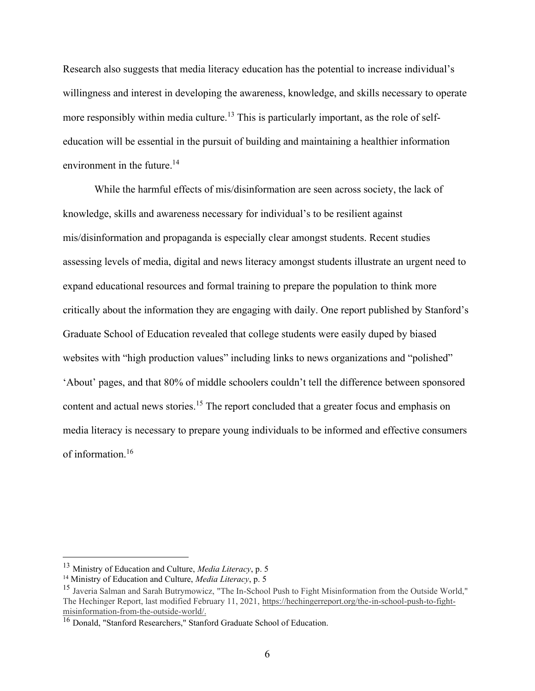Research also suggests that media literacy education has the potential to increase individual's willingness and interest in developing the awareness, knowledge, and skills necessary to operate more responsibly within media culture.<sup>13</sup> This is particularly important, as the role of selfeducation will be essential in the pursuit of building and maintaining a healthier information environment in the future.<sup>14</sup>

While the harmful effects of mis/disinformation are seen across society, the lack of knowledge, skills and awareness necessary for individual's to be resilient against mis/disinformation and propaganda is especially clear amongst students. Recent studies assessing levels of media, digital and news literacy amongst students illustrate an urgent need to expand educational resources and formal training to prepare the population to think more critically about the information they are engaging with daily. One report published by Stanford's Graduate School of Education revealed that college students were easily duped by biased websites with "high production values" including links to news organizations and "polished" 'About' pages, and that 80% of middle schoolers couldn't tell the difference between sponsored content and actual news stories.<sup>15</sup> The report concluded that a greater focus and emphasis on media literacy is necessary to prepare young individuals to be informed and effective consumers of information.<sup>16</sup>

<sup>13</sup> Ministry of Education and Culture, *Media Literacy*, p. 5

<sup>14</sup> Ministry of Education and Culture, *Media Literacy*, p. 5

<sup>15</sup> Javeria Salman and Sarah Butrymowicz, "The In-School Push to Fight Misinformation from the Outside World," The Hechinger Report, last modified February 11, 2021, [https://hechingerreport.org/the-in-school-push-to-fight](https://hechingerreport.org/the-in-school-push-to-fight-misinformation-from-the-outside-world/)[misinformation-from-the-outside-world/.](https://hechingerreport.org/the-in-school-push-to-fight-misinformation-from-the-outside-world/)

<sup>&</sup>lt;sup>16</sup> Donald, "Stanford Researchers," Stanford Graduate School of Education.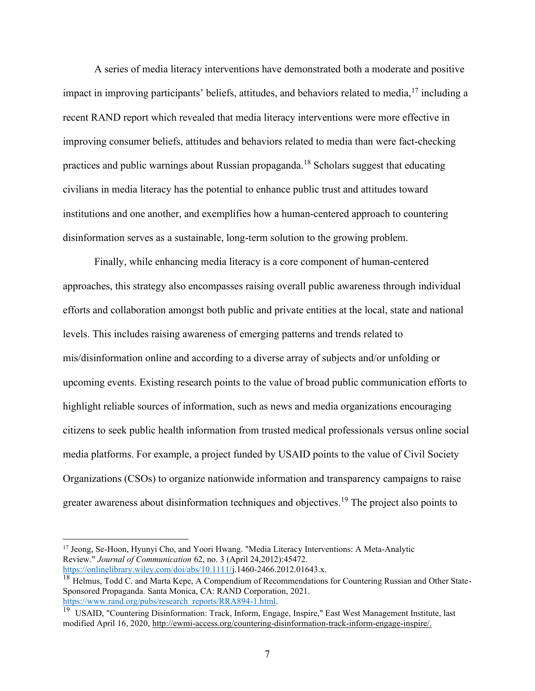A series of media literacy interventions have demonstrated both a moderate and positive impact in improving participants' beliefs, attitudes, and behaviors related to media,  $17$  including a recent RAND report which revealed that media literacy interventions were more effective in improving consumer beliefs, attitudes and behaviors related to media than were fact-checking practices and public warnings about Russian propaganda.<sup>18</sup> Scholars suggest that educating civilians in media literacy has the potential to enhance public trust and attitudes toward institutions and one another, and exemplifies how a human-centered approach to countering disinformation serves as a sustainable, long-term solution to the growing problem.

Finally, while enhancing media literacy is a core component of human-centered approaches, this strategy also encompasses raising overall public awareness through individual efforts and collaboration amongst both public and private entities at the local, state and national levels. This includes raising awareness of emerging patterns and trends related to mis/disinformation online and according to a diverse array of subjects and/or unfolding or upcoming events. Existing research points to the value of broad public communication efforts to highlight reliable sources of information, such as news and media organizations encouraging citizens to seek public health information from trusted medical professionals versus online social media platforms. For example, a project funded by USAID points to the value of Civil Society Organizations (CSOs) to organize nationwide information and transparency campaigns to raise greater awareness about disinformation techniques and objectives. <sup>19</sup> The project also points to

<sup>&</sup>lt;sup>17</sup> Jeong, Se-Hoon, Hyunyi Cho, and Yoori Hwang. "Media Literacy Interventions: A Meta-Analytic Review." *Journal of Communication* 62, no. 3 (April 24,2012):45472. [https://onlinelibrary.wiley.com/doi/abs/10.1111/j](https://onlinelibrary.wiley.com/doi/abs/10.1111/).1460-2466.2012.01643.x.

<sup>&</sup>lt;sup>18</sup> Helmus, Todd C. and Marta Kepe, A Compendium of Recommendations for Countering Russian and Other State-Sponsored Propaganda. Santa Monica, CA: RAND Corporation, 2021. [https://www.rand.org/pubs/research\\_reports/RRA894-1.html.](https://www.rand.org/pubs/research_reports/RRA894-1.html)

<sup>&</sup>lt;sup>19</sup> USAID, "Countering Disinformation: Track, Inform, Engage, Inspire," East West Management Institute, last modified April 16, 2020, [http://ewmi-access.org/countering-disinformation-track-inform-engage-inspire/.](http://ewmi-access.org/countering-disinformation-track-inform-engage-inspire/)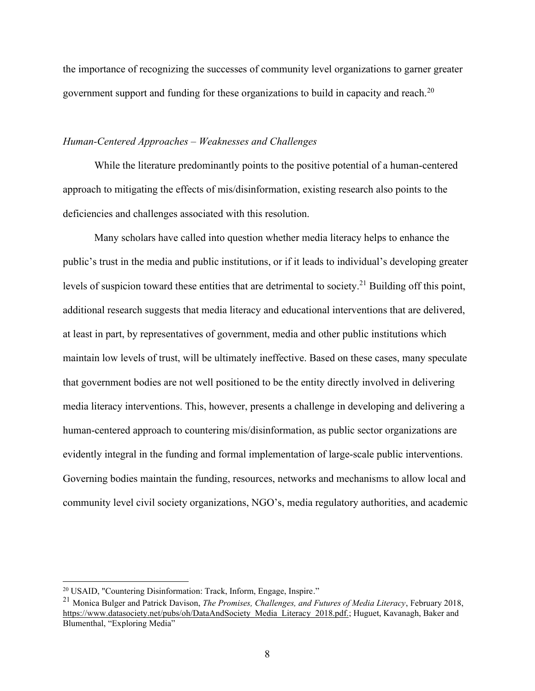the importance of recognizing the successes of community level organizations to garner greater government support and funding for these organizations to build in capacity and reach.<sup>20</sup>

## *Human-Centered Approaches – Weaknesses and Challenges*

While the literature predominantly points to the positive potential of a human-centered approach to mitigating the effects of mis/disinformation, existing research also points to the deficiencies and challenges associated with this resolution.

Many scholars have called into question whether media literacy helps to enhance the public's trust in the media and public institutions, or if it leads to individual's developing greater levels of suspicion toward these entities that are detrimental to society.<sup>21</sup> Building off this point, additional research suggests that media literacy and educational interventions that are delivered, at least in part, by representatives of government, media and other public institutions which maintain low levels of trust, will be ultimately ineffective. Based on these cases, many speculate that government bodies are not well positioned to be the entity directly involved in delivering media literacy interventions. This, however, presents a challenge in developing and delivering a human-centered approach to countering mis/disinformation, as public sector organizations are evidently integral in the funding and formal implementation of large-scale public interventions. Governing bodies maintain the funding, resources, networks and mechanisms to allow local and community level civil society organizations, NGO's, media regulatory authorities, and academic

<sup>20</sup> USAID, "Countering Disinformation: Track, Inform, Engage, Inspire."

<sup>21</sup> Monica Bulger and Patrick Davison, *The Promises, Challenges, and Futures of Media Literacy*, February 2018, [https://www.datasociety.net/pubs/oh/DataAndSociety\\_Media\\_Literacy\\_2018.pdf.;](https://www.datasociety.net/pubs/oh/DataAndSociety_Media_Literacy_2018.pdf.) Huguet, Kavanagh, Baker and Blumenthal, "Exploring Media"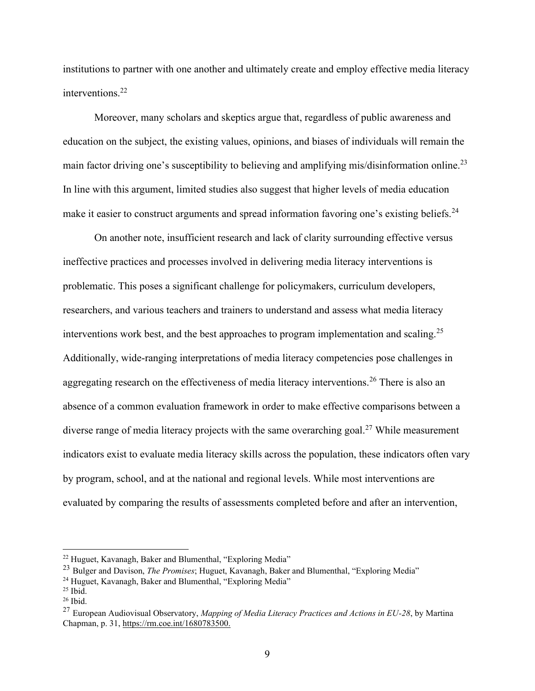institutions to partner with one another and ultimately create and employ effective media literacy interventions.<sup>22</sup>

Moreover, many scholars and skeptics argue that, regardless of public awareness and education on the subject, the existing values, opinions, and biases of individuals will remain the main factor driving one's susceptibility to believing and amplifying mis/disinformation online.<sup>23</sup> In line with this argument, limited studies also suggest that higher levels of media education make it easier to construct arguments and spread information favoring one's existing beliefs.<sup>24</sup>

On another note, insufficient research and lack of clarity surrounding effective versus ineffective practices and processes involved in delivering media literacy interventions is problematic. This poses a significant challenge for policymakers, curriculum developers, researchers, and various teachers and trainers to understand and assess what media literacy interventions work best, and the best approaches to program implementation and scaling.<sup>25</sup> Additionally, wide-ranging interpretations of media literacy competencies pose challenges in aggregating research on the effectiveness of media literacy interventions.<sup>26</sup> There is also an absence of a common evaluation framework in order to make effective comparisons between a diverse range of media literacy projects with the same overarching goal.<sup>27</sup> While measurement indicators exist to evaluate media literacy skills across the population, these indicators often vary by program, school, and at the national and regional levels. While most interventions are evaluated by comparing the results of assessments completed before and after an intervention,

<sup>22</sup> Huguet, Kavanagh, Baker and Blumenthal, "Exploring Media"

<sup>23</sup> Bulger and Davison, *The Promises*; Huguet, Kavanagh, Baker and Blumenthal, "Exploring Media"

<sup>24</sup> Huguet, Kavanagh, Baker and Blumenthal, "Exploring Media"

 $25$  Ibid.

<sup>26</sup> Ibid.

<sup>27</sup> European Audiovisual Observatory, *Mapping of Media Literacy Practices and Actions in EU-28*, by Martina Chapman, p. 31,<https://rm.coe.int/1680783500.>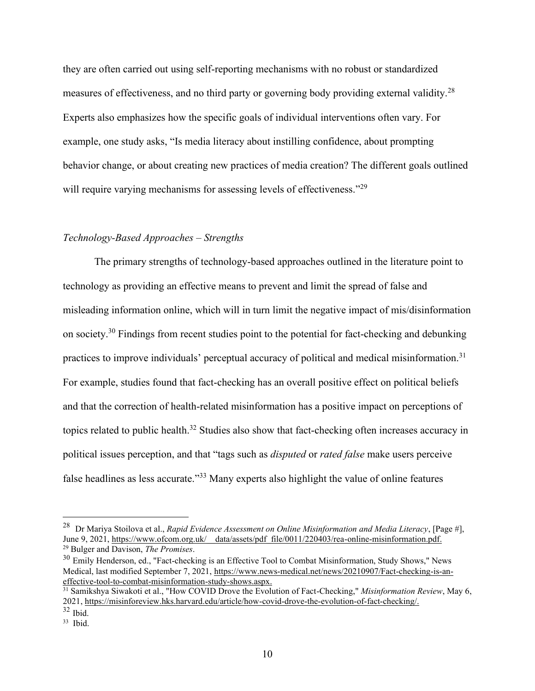they are often carried out using self-reporting mechanisms with no robust or standardized measures of effectiveness, and no third party or governing body providing external validity.<sup>28</sup> Experts also emphasizes how the specific goals of individual interventions often vary. For example, one study asks, "Is media literacy about instilling confidence, about prompting behavior change, or about creating new practices of media creation? The different goals outlined will require varying mechanisms for assessing levels of effectiveness."<sup>29</sup>

## *Technology-Based Approaches – Strengths*

The primary strengths of technology-based approaches outlined in the literature point to technology as providing an effective means to prevent and limit the spread of false and misleading information online, which will in turn limit the negative impact of mis/disinformation on society.<sup>30</sup> Findings from recent studies point to the potential for fact-checking and debunking practices to improve individuals' perceptual accuracy of political and medical misinformation.<sup>31</sup> For example, studies found that fact-checking has an overall positive effect on political beliefs and that the correction of health-related misinformation has a positive impact on perceptions of topics related to public health.<sup>32</sup> Studies also show that fact-checking often increases accuracy in political issues perception, and that "tags such as *disputed* or *rated false* make users perceive false headlines as less accurate."<sup>33</sup> Many experts also highlight the value of online features

<sup>28</sup> Dr Mariya Stoilova et al., *Rapid Evidence Assessment on Online Misinformation and Media Literacy*, [Page #], June 9, 2021, https://www.ofcom.org.uk/\_data/assets/pdf\_file/0011/220403/rea-online-misinformation.pdf. <sup>29</sup> Bulger and Davison, *The Promises*.

<sup>&</sup>lt;sup>30</sup> Emily Henderson, ed., "Fact-checking is an Effective Tool to Combat Misinformation, Study Shows," News Medical, last modified September 7, 2021, [https://www.news-medical.net/news/20210907/Fact-checking-is-an](https://www.news-medical.net/news/20210907/Fact-checking-is-an-effective-tool-to-combat-misinformation-study-shows.aspx.)[effective-tool-to-combat-misinformation-study-shows.aspx.](https://www.news-medical.net/news/20210907/Fact-checking-is-an-effective-tool-to-combat-misinformation-study-shows.aspx.)

<sup>&</sup>lt;sup>31</sup> Samikshya Siwakoti et al., "How COVID Drove the Evolution of Fact-Checking," *Misinformation Review*, May 6, 2021, [https://misinforeview.hks.harvard.edu/article/how-covid-drove-the-evolution-of-fact-checking/.](https://misinforeview.hks.harvard.edu/article/how-covid-drove-the-evolution-of-fact-checking/)

 $32$  Ibid.

<sup>33</sup> Ibid.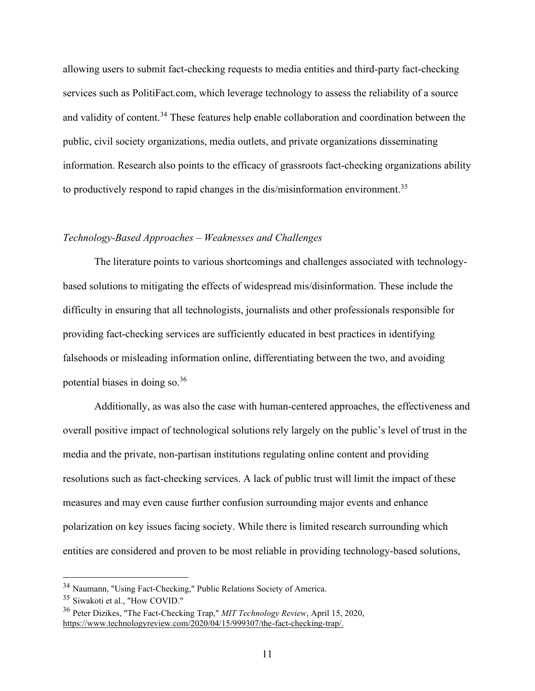allowing users to submit fact-checking requests to media entities and third-party fact-checking services such as PolitiFact.com, which leverage technology to assess the reliability of a source and validity of content.<sup>34</sup> These features help enable collaboration and coordination between the public, civil society organizations, media outlets, and private organizations disseminating information. Research also points to the efficacy of grassroots fact-checking organizations ability to productively respond to rapid changes in the dis/misinformation environment.<sup>35</sup>

## *Technology-Based Approaches – Weaknesses and Challenges*

The literature points to various shortcomings and challenges associated with technologybased solutions to mitigating the effects of widespread mis/disinformation. These include the difficulty in ensuring that all technologists, journalists and other professionals responsible for providing fact-checking services are sufficiently educated in best practices in identifying falsehoods or misleading information online, differentiating between the two, and avoiding potential biases in doing so.<sup>36</sup>

Additionally, as was also the case with human-centered approaches, the effectiveness and overall positive impact of technological solutions rely largely on the public's level of trust in the media and the private, non-partisan institutions regulating online content and providing resolutions such as fact-checking services. A lack of public trust will limit the impact of these measures and may even cause further confusion surrounding major events and enhance polarization on key issues facing society. While there is limited research surrounding which entities are considered and proven to be most reliable in providing technology-based solutions,

<sup>34</sup> Naumann, "Using Fact-Checking," Public Relations Society of America.

<sup>35</sup> Siwakoti et al., "How COVID."

<sup>36</sup> Peter Dizikes, "The Fact-Checking Trap," *MIT Technology Review*, April 15, 2020, [https://www.technologyreview.com/2020/04/15/999307/the-fact-checking-trap/.](https://www.technologyreview.com/2020/04/15/999307/the-fact-checking-trap/)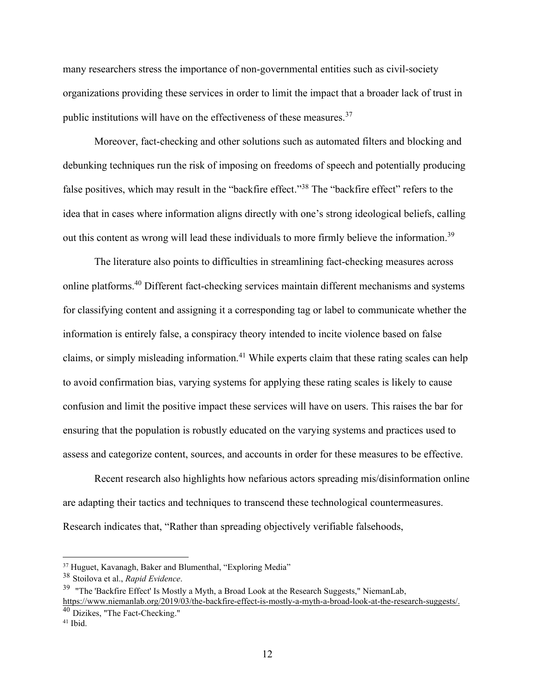many researchers stress the importance of non-governmental entities such as civil-society organizations providing these services in order to limit the impact that a broader lack of trust in public institutions will have on the effectiveness of these measures.<sup>37</sup>

Moreover, fact-checking and other solutions such as automated filters and blocking and debunking techniques run the risk of imposing on freedoms of speech and potentially producing false positives, which may result in the "backfire effect."<sup>38</sup> The "backfire effect" refers to the idea that in cases where information aligns directly with one's strong ideological beliefs, calling out this content as wrong will lead these individuals to more firmly believe the information.<sup>39</sup>

The literature also points to difficulties in streamlining fact-checking measures across online platforms.<sup>40</sup> Different fact-checking services maintain different mechanisms and systems for classifying content and assigning it a corresponding tag or label to communicate whether the information is entirely false, a conspiracy theory intended to incite violence based on false claims, or simply misleading information.<sup>41</sup> While experts claim that these rating scales can help to avoid confirmation bias, varying systems for applying these rating scales is likely to cause confusion and limit the positive impact these services will have on users. This raises the bar for ensuring that the population is robustly educated on the varying systems and practices used to assess and categorize content, sources, and accounts in order for these measures to be effective.

Recent research also highlights how nefarious actors spreading mis/disinformation online are adapting their tactics and techniques to transcend these technological countermeasures. Research indicates that, "Rather than spreading objectively verifiable falsehoods,

<sup>&</sup>lt;sup>37</sup> Huguet, Kavanagh, Baker and Blumenthal, "Exploring Media"

<sup>38</sup> Stoilova et al., *Rapid Evidence*.

 $39$  "The 'Backfire Effect' Is Mostly a Myth, a Broad Look at the Research Suggests," NiemanLab, [https://www.niemanlab.org/2019/03/the-backfire-effect-is-mostly-a-myth-a-broad-look-at-the-research-suggests/.](https://www.niemanlab.org/2019/03/the-backfire-effect-is-mostly-a-myth-a-broad-look-at-the-research-suggests/)

<sup>40</sup> Dizikes, "The Fact-Checking."

<sup>41</sup> Ibid.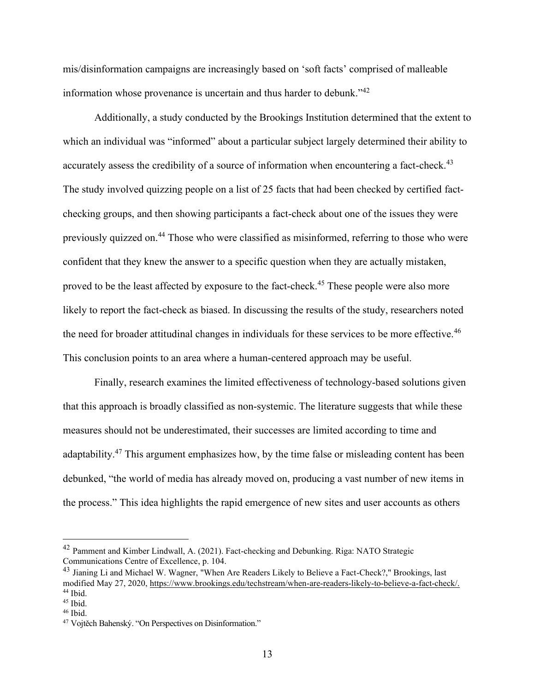mis/disinformation campaigns are increasingly based on 'soft facts' comprised of malleable information whose provenance is uncertain and thus harder to debunk."<sup>42</sup>

Additionally, a study conducted by the Brookings Institution determined that the extent to which an individual was "informed" about a particular subject largely determined their ability to accurately assess the credibility of a source of information when encountering a fact-check.<sup>43</sup> The study involved quizzing people on a list of 25 facts that had been checked by certified factchecking groups, and then showing participants a fact-check about one of the issues they were previously quizzed on.<sup>44</sup> Those who were classified as misinformed, referring to those who were confident that they knew the answer to a specific question when they are actually mistaken, proved to be the least affected by exposure to the fact-check.<sup>45</sup> These people were also more likely to report the fact-check as biased. In discussing the results of the study, researchers noted the need for broader attitudinal changes in individuals for these services to be more effective.<sup>46</sup> This conclusion points to an area where a human-centered approach may be useful.

Finally, research examines the limited effectiveness of technology-based solutions given that this approach is broadly classified as non-systemic. The literature suggests that while these measures should not be underestimated, their successes are limited according to time and adaptability.<sup>47</sup> This argument emphasizes how, by the time false or misleading content has been debunked, "the world of media has already moved on, producing a vast number of new items in the process." This idea highlights the rapid emergence of new sites and user accounts as others

<sup>42</sup> Pamment and Kimber Lindwall, A. (2021). Fact-checking and Debunking. Riga: NATO Strategic Communications Centre of Excellence, p. 104.

<sup>&</sup>lt;sup>43</sup> Jianing Li and Michael W. Wagner, "When Are Readers Likely to Believe a Fact-Check?," Brookings, last modified May 27, 2020, [https://www.brookings.edu/techstream/when-are-readers-likely-to-believe-a-fact-check/.](https://www.brookings.edu/techstream/when-are-readers-likely-to-believe-a-fact-check/)  $44$  Ibid.

<sup>45</sup> Ibid.

 $46$  Ibid.

<sup>47</sup> Vojtěch Bahenský. "On Perspectives on Disinformation."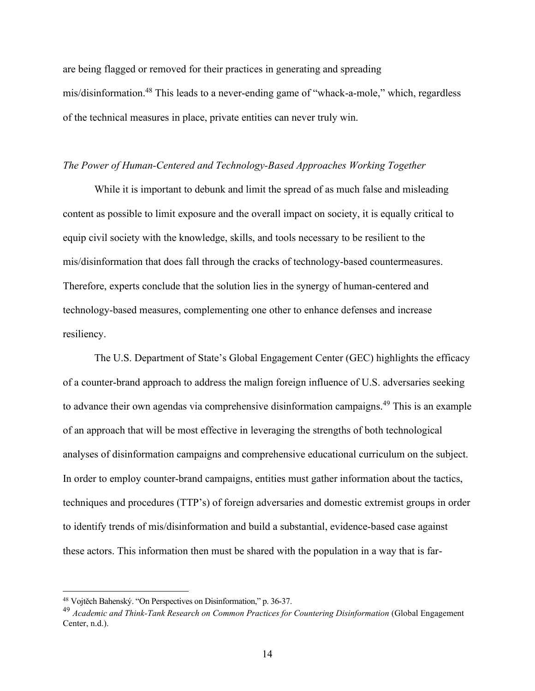are being flagged or removed for their practices in generating and spreading mis/disinformation.<sup>48</sup> This leads to a never-ending game of "whack-a-mole," which, regardless of the technical measures in place, private entities can never truly win.

## *The Power of Human-Centered and Technology-Based Approaches Working Together*

While it is important to debunk and limit the spread of as much false and misleading content as possible to limit exposure and the overall impact on society, it is equally critical to equip civil society with the knowledge, skills, and tools necessary to be resilient to the mis/disinformation that does fall through the cracks of technology-based countermeasures. Therefore, experts conclude that the solution lies in the synergy of human-centered and technology-based measures, complementing one other to enhance defenses and increase resiliency.

The U.S. Department of State's Global Engagement Center (GEC) highlights the efficacy of a counter-brand approach to address the malign foreign influence of U.S. adversaries seeking to advance their own agendas via comprehensive disinformation campaigns.<sup>49</sup> This is an example of an approach that will be most effective in leveraging the strengths of both technological analyses of disinformation campaigns and comprehensive educational curriculum on the subject. In order to employ counter-brand campaigns, entities must gather information about the tactics, techniques and procedures (TTP's) of foreign adversaries and domestic extremist groups in order to identify trends of mis/disinformation and build a substantial, evidence-based case against these actors. This information then must be shared with the population in a way that is far-

<sup>48</sup> Vojtěch Bahenský. "On Perspectives on Disinformation," p. 36-37.

<sup>49</sup> *Academic and Think-Tank Research on Common Practices for Countering Disinformation* (Global Engagement Center, n.d.).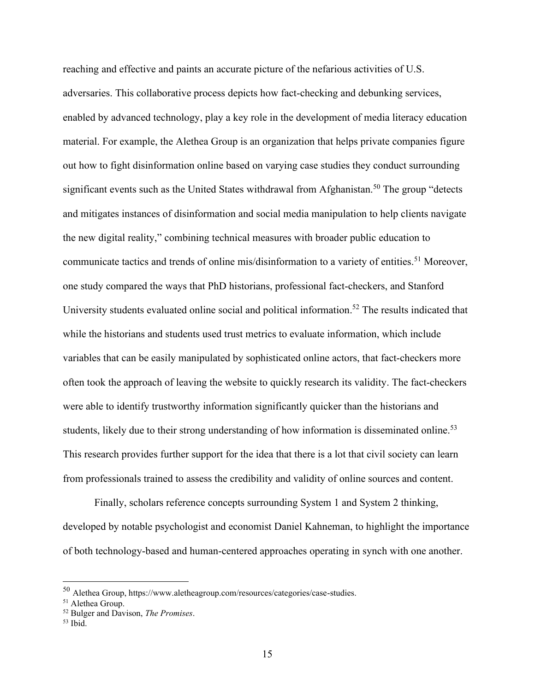reaching and effective and paints an accurate picture of the nefarious activities of U.S. adversaries. This collaborative process depicts how fact-checking and debunking services, enabled by advanced technology, play a key role in the development of media literacy education material. For example, the Alethea Group is an organization that helps private companies figure out how to fight disinformation online based on varying case studies they conduct surrounding significant events such as the United States withdrawal from Afghanistan.<sup>50</sup> The group "detects" and mitigates instances of disinformation and social media manipulation to help clients navigate the new digital reality," combining technical measures with broader public education to communicate tactics and trends of online mis/disinformation to a variety of entities.<sup>51</sup> Moreover, one study compared the ways that PhD historians, professional fact-checkers, and Stanford University students evaluated online social and political information.<sup>52</sup> The results indicated that while the historians and students used trust metrics to evaluate information, which include variables that can be easily manipulated by sophisticated online actors, that fact-checkers more often took the approach of leaving the website to quickly research its validity. The fact-checkers were able to identify trustworthy information significantly quicker than the historians and students, likely due to their strong understanding of how information is disseminated online.<sup>53</sup> This research provides further support for the idea that there is a lot that civil society can learn from professionals trained to assess the credibility and validity of online sources and content.

Finally, scholars reference concepts surrounding System 1 and System 2 thinking, developed by notable psychologist and economist Daniel Kahneman, to highlight the importance of both technology-based and human-centered approaches operating in synch with one another.

<sup>50</sup> Alethea Group, https://www.aletheagroup.com/resources/categories/case-studies.

<sup>51</sup> Alethea Group.

<sup>52</sup> Bulger and Davison, *The Promises*.

<sup>53</sup> Ibid.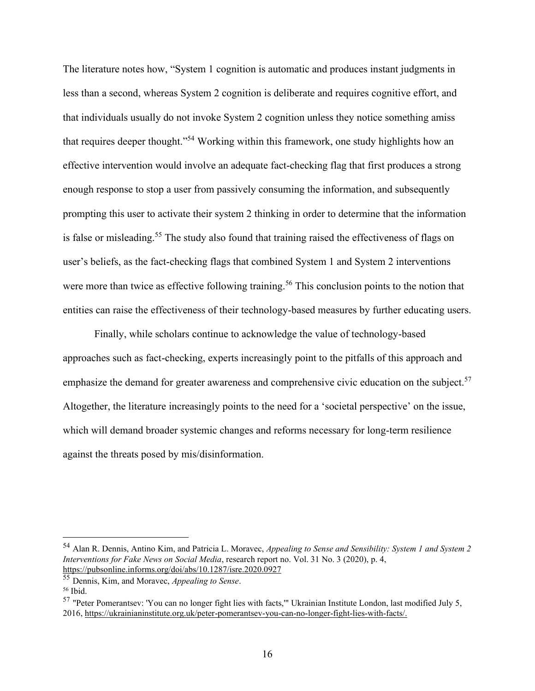The literature notes how, "System 1 cognition is automatic and produces instant judgments in less than a second, whereas System 2 cognition is deliberate and requires cognitive effort, and that individuals usually do not invoke System 2 cognition unless they notice something amiss that requires deeper thought."<sup>54</sup> Working within this framework, one study highlights how an effective intervention would involve an adequate fact-checking flag that first produces a strong enough response to stop a user from passively consuming the information, and subsequently prompting this user to activate their system 2 thinking in order to determine that the information is false or misleading.<sup>55</sup> The study also found that training raised the effectiveness of flags on user's beliefs, as the fact-checking flags that combined System 1 and System 2 interventions were more than twice as effective following training.<sup>56</sup> This conclusion points to the notion that entities can raise the effectiveness of their technology-based measures by further educating users.

Finally, while scholars continue to acknowledge the value of technology-based approaches such as fact-checking, experts increasingly point to the pitfalls of this approach and emphasize the demand for greater awareness and comprehensive civic education on the subject.<sup>57</sup> Altogether, the literature increasingly points to the need for a 'societal perspective' on the issue, which will demand broader systemic changes and reforms necessary for long-term resilience against the threats posed by mis/disinformation.

<sup>54</sup> Alan R. Dennis, Antino Kim, and Patricia L. Moravec, *Appealing to Sense and Sensibility: System 1 and System 2 Interventions for Fake News on Social Media*, research report no. Vol. 31 No. 3 (2020), p. 4, <https://pubsonline.informs.org/doi/abs/10.1287/isre.2020.0927>

<sup>55</sup> Dennis, Kim, and Moravec, *Appealing to Sense*.

<sup>56</sup> Ibid.

<sup>57</sup> "Peter Pomerantsev: 'You can no longer fight lies with facts,'" Ukrainian Institute London, last modified July 5, 2016, [https://ukrainianinstitute.org.uk/peter-pomerantsev-you-can-no-longer-fight-lies-with-facts/.](https://ukrainianinstitute.org.uk/peter-pomerantsev-you-can-no-longer-fight-lies-with-facts/)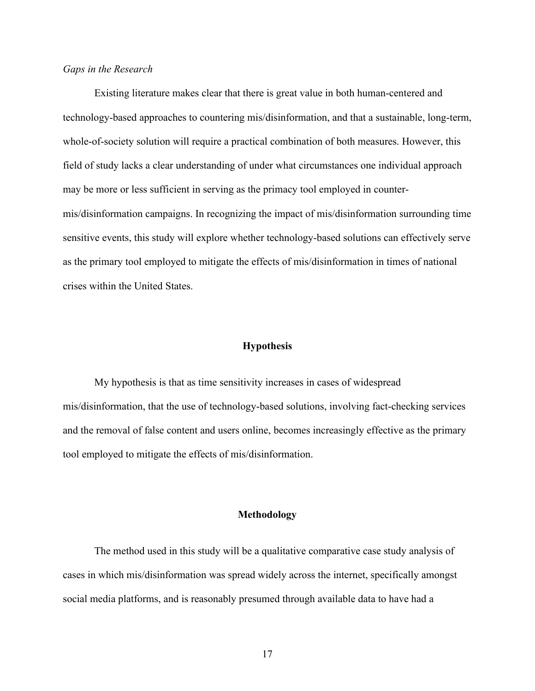## *Gaps in the Research*

Existing literature makes clear that there is great value in both human-centered and technology-based approaches to countering mis/disinformation, and that a sustainable, long-term, whole-of-society solution will require a practical combination of both measures. However, this field of study lacks a clear understanding of under what circumstances one individual approach may be more or less sufficient in serving as the primacy tool employed in countermis/disinformation campaigns. In recognizing the impact of mis/disinformation surrounding time sensitive events, this study will explore whether technology-based solutions can effectively serve as the primary tool employed to mitigate the effects of mis/disinformation in times of national crises within the United States.

## **Hypothesis**

My hypothesis is that as time sensitivity increases in cases of widespread mis/disinformation, that the use of technology-based solutions, involving fact-checking services and the removal of false content and users online, becomes increasingly effective as the primary tool employed to mitigate the effects of mis/disinformation.

## **Methodology**

The method used in this study will be a qualitative comparative case study analysis of cases in which mis/disinformation was spread widely across the internet, specifically amongst social media platforms, and is reasonably presumed through available data to have had a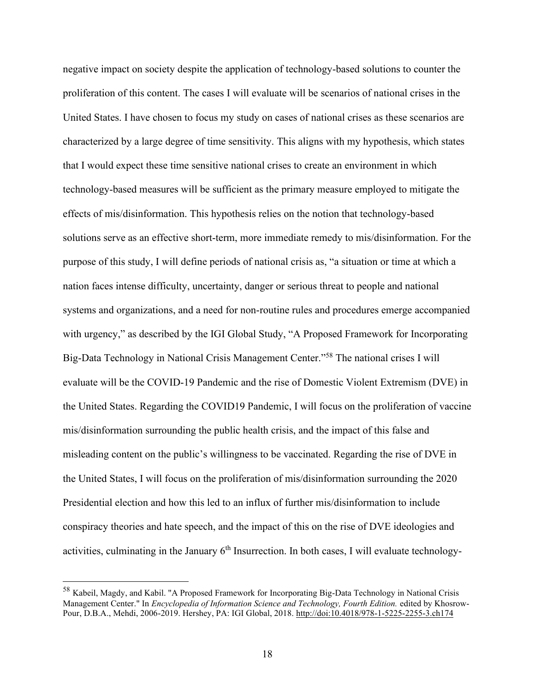negative impact on society despite the application of technology-based solutions to counter the proliferation of this content. The cases I will evaluate will be scenarios of national crises in the United States. I have chosen to focus my study on cases of national crises as these scenarios are characterized by a large degree of time sensitivity. This aligns with my hypothesis, which states that I would expect these time sensitive national crises to create an environment in which technology-based measures will be sufficient as the primary measure employed to mitigate the effects of mis/disinformation. This hypothesis relies on the notion that technology-based solutions serve as an effective short-term, more immediate remedy to mis/disinformation. For the purpose of this study, I will define periods of national crisis as, "a situation or time at which a nation faces intense difficulty, uncertainty, danger or serious threat to people and national systems and organizations, and a need for non-routine rules and procedures emerge accompanied with urgency," as described by the IGI Global Study, "A Proposed Framework for Incorporating Big-Data Technology in National Crisis Management Center."<sup>58</sup> The national crises I will evaluate will be the COVID-19 Pandemic and the rise of Domestic Violent Extremism (DVE) in the United States. Regarding the COVID19 Pandemic, I will focus on the proliferation of vaccine mis/disinformation surrounding the public health crisis, and the impact of this false and misleading content on the public's willingness to be vaccinated. Regarding the rise of DVE in the United States, I will focus on the proliferation of mis/disinformation surrounding the 2020 Presidential election and how this led to an influx of further mis/disinformation to include conspiracy theories and hate speech, and the impact of this on the rise of DVE ideologies and activities, culminating in the January 6<sup>th</sup> Insurrection. In both cases, I will evaluate technology-

<sup>58</sup> Kabeil, Magdy, and Kabil. "A Proposed Framework for Incorporating Big-Data Technology in National Crisis Management Center." In *Encyclopedia of Information Science and Technology, Fourth Edition.* edited by Khosrow-Pour, D.B.A., Mehdi, 2006-2019. Hershey, PA: IGI Global, 2018.<http://doi:10.4018/978-1-5225-2255-3.ch174>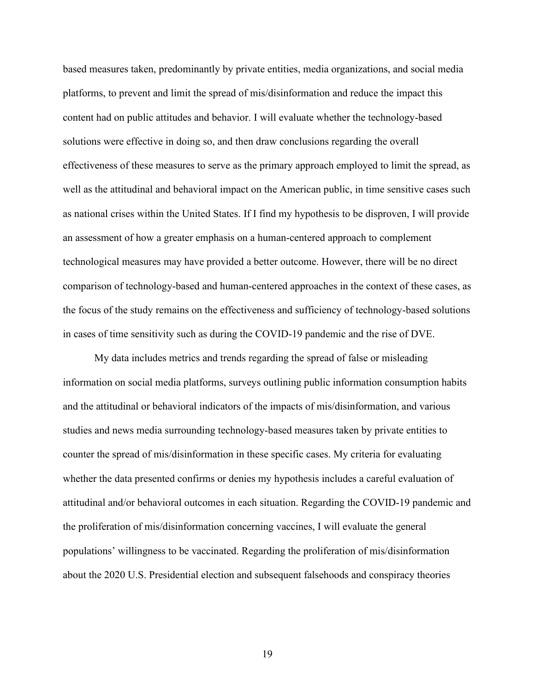based measures taken, predominantly by private entities, media organizations, and social media platforms, to prevent and limit the spread of mis/disinformation and reduce the impact this content had on public attitudes and behavior. I will evaluate whether the technology-based solutions were effective in doing so, and then draw conclusions regarding the overall effectiveness of these measures to serve as the primary approach employed to limit the spread, as well as the attitudinal and behavioral impact on the American public, in time sensitive cases such as national crises within the United States. If I find my hypothesis to be disproven, I will provide an assessment of how a greater emphasis on a human-centered approach to complement technological measures may have provided a better outcome. However, there will be no direct comparison of technology-based and human-centered approaches in the context of these cases, as the focus of the study remains on the effectiveness and sufficiency of technology-based solutions in cases of time sensitivity such as during the COVID-19 pandemic and the rise of DVE.

My data includes metrics and trends regarding the spread of false or misleading information on social media platforms, surveys outlining public information consumption habits and the attitudinal or behavioral indicators of the impacts of mis/disinformation, and various studies and news media surrounding technology-based measures taken by private entities to counter the spread of mis/disinformation in these specific cases. My criteria for evaluating whether the data presented confirms or denies my hypothesis includes a careful evaluation of attitudinal and/or behavioral outcomes in each situation. Regarding the COVID-19 pandemic and the proliferation of mis/disinformation concerning vaccines, I will evaluate the general populations' willingness to be vaccinated. Regarding the proliferation of mis/disinformation about the 2020 U.S. Presidential election and subsequent falsehoods and conspiracy theories

19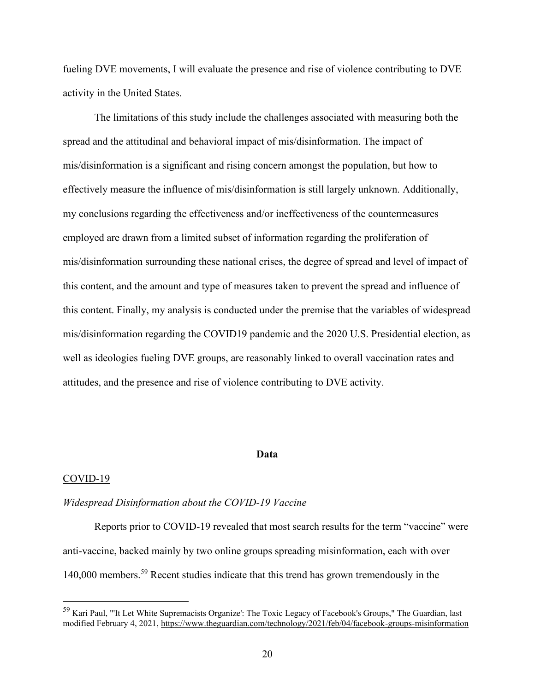fueling DVE movements, I will evaluate the presence and rise of violence contributing to DVE activity in the United States.

The limitations of this study include the challenges associated with measuring both the spread and the attitudinal and behavioral impact of mis/disinformation. The impact of mis/disinformation is a significant and rising concern amongst the population, but how to effectively measure the influence of mis/disinformation is still largely unknown. Additionally, my conclusions regarding the effectiveness and/or ineffectiveness of the countermeasures employed are drawn from a limited subset of information regarding the proliferation of mis/disinformation surrounding these national crises, the degree of spread and level of impact of this content, and the amount and type of measures taken to prevent the spread and influence of this content. Finally, my analysis is conducted under the premise that the variables of widespread mis/disinformation regarding the COVID19 pandemic and the 2020 U.S. Presidential election, as well as ideologies fueling DVE groups, are reasonably linked to overall vaccination rates and attitudes, and the presence and rise of violence contributing to DVE activity.

#### **Data**

#### COVID-19

#### *Widespread Disinformation about the COVID-19 Vaccine*

Reports prior to COVID-19 revealed that most search results for the term "vaccine" were anti-vaccine, backed mainly by two online groups spreading misinformation, each with over 140,000 members. <sup>59</sup> Recent studies indicate that this trend has grown tremendously in the

<sup>59</sup> Kari Paul, "'It Let White Supremacists Organize': The Toxic Legacy of Facebook's Groups," The Guardian, last modified February 4, 2021,<https://www.theguardian.com/technology/2021/feb/04/facebook-groups-misinformation>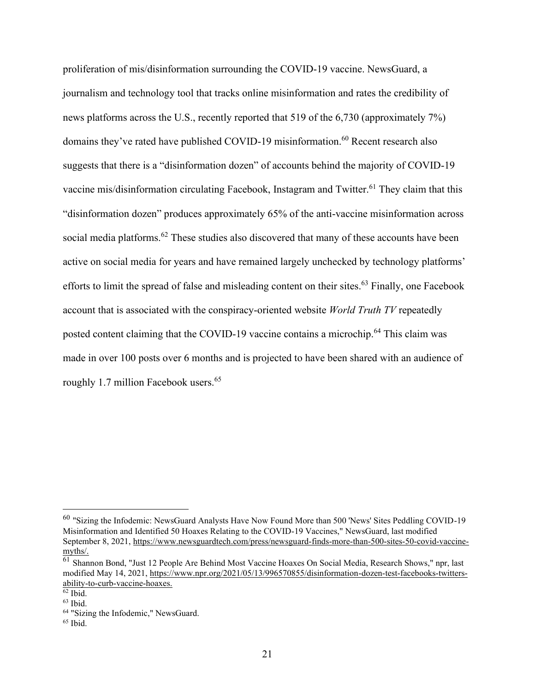proliferation of mis/disinformation surrounding the COVID-19 vaccine. NewsGuard, a journalism and technology tool that tracks online misinformation and rates the credibility of news platforms across the U.S., recently reported that 519 of the 6,730 (approximately 7%) domains they've rated have published COVID-19 misinformation. <sup>60</sup> Recent research also suggests that there is a "disinformation dozen" of accounts behind the majority of COVID-19 vaccine mis/disinformation circulating Facebook, Instagram and Twitter.<sup>61</sup> They claim that this "disinformation dozen" produces approximately 65% of the anti-vaccine misinformation across social media platforms.<sup>62</sup> These studies also discovered that many of these accounts have been active on social media for years and have remained largely unchecked by technology platforms' efforts to limit the spread of false and misleading content on their sites.<sup>63</sup> Finally, one Facebook account that is associated with the conspiracy-oriented website *World Truth TV* repeatedly posted content claiming that the COVID-19 vaccine contains a microchip.<sup>64</sup> This claim was made in over 100 posts over 6 months and is projected to have been shared with an audience of roughly 1.7 million Facebook users.<sup>65</sup>

<sup>60</sup> "Sizing the Infodemic: NewsGuard Analysts Have Now Found More than 500 'News' Sites Peddling COVID-19 Misinformation and Identified 50 Hoaxes Relating to the COVID-19 Vaccines," NewsGuard, last modified September 8, 2021, [https://www.newsguardtech.com/press/newsguard-finds-more-than-500-sites-50-covid-vaccine](https://www.newsguardtech.com/press/newsguard-finds-more-than-500-sites-50-covid-vaccine-myths/)[myths/.](https://www.newsguardtech.com/press/newsguard-finds-more-than-500-sites-50-covid-vaccine-myths/)

<sup>&</sup>lt;sup>61</sup> Shannon Bond, "Just 12 People Are Behind Most Vaccine Hoaxes On Social Media, Research Shows," npr, last modified May 14, 2021, [https://www.npr.org/2021/05/13/996570855/disinformation-dozen-test-facebooks-twitters](https://www.npr.org/2021/05/13/996570855/disinformation-dozen-test-facebooks-twitters-ability-to-curb-vaccine-hoaxes.)[ability-to-curb-vaccine-hoaxes.](https://www.npr.org/2021/05/13/996570855/disinformation-dozen-test-facebooks-twitters-ability-to-curb-vaccine-hoaxes.)

 $62$  Ibid.

<sup>63</sup> Ibid.

<sup>64</sup> "Sizing the Infodemic," NewsGuard.

 $65$  Ibid.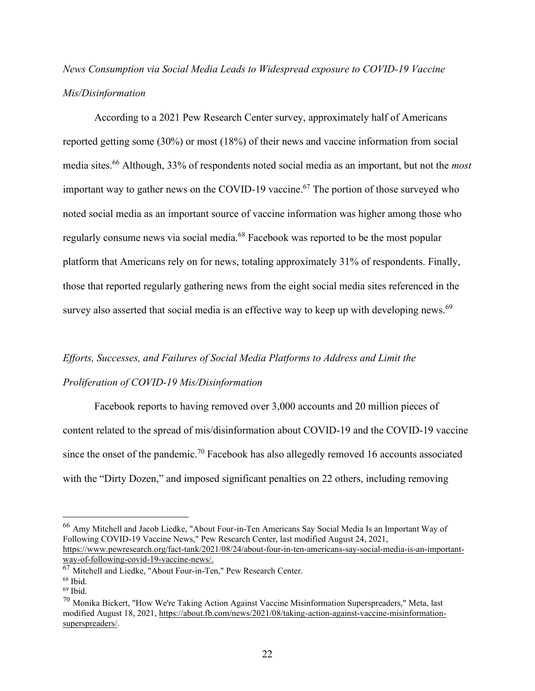# *News Consumption via Social Media Leads to Widespread exposure to COVID-19 Vaccine Mis/Disinformation*

According to a 2021 Pew Research Center survey, approximately half of Americans reported getting some (30%) or most (18%) of their news and vaccine information from social media sites.<sup>66</sup> Although, 33% of respondents noted social media as an important, but not the *most*  important way to gather news on the COVID-19 vaccine.<sup>67</sup> The portion of those surveyed who noted social media as an important source of vaccine information was higher among those who regularly consume news via social media.<sup>68</sup> Facebook was reported to be the most popular platform that Americans rely on for news, totaling approximately 31% of respondents. Finally, those that reported regularly gathering news from the eight social media sites referenced in the survey also asserted that social media is an effective way to keep up with developing news.<sup>69</sup>

# *Efforts, Successes, and Failures of Social Media Platforms to Address and Limit the Proliferation of COVID-19 Mis/Disinformation*

Facebook reports to having removed over 3,000 accounts and 20 million pieces of content related to the spread of mis/disinformation about COVID-19 and the COVID-19 vaccine since the onset of the pandemic.<sup>70</sup> Facebook has also allegedly removed 16 accounts associated with the "Dirty Dozen," and imposed significant penalties on 22 others, including removing

<sup>66</sup> Amy Mitchell and Jacob Liedke, "About Four-in-Ten Americans Say Social Media Is an Important Way of Following COVID-19 Vaccine News," Pew Research Center, last modified August 24, 2021, [https://www.pewresearch.org/fact-tank/2021/08/24/about-four-in-ten-americans-say-social-media-is-an-important-](https://www.pewresearch.org/fact-tank/2021/08/24/about-four-in-ten-americans-say-social-media-is-an-important-way-of-following-covid-19-vaccine-news/)

[way-of-following-covid-19-vaccine-news/.](https://www.pewresearch.org/fact-tank/2021/08/24/about-four-in-ten-americans-say-social-media-is-an-important-way-of-following-covid-19-vaccine-news/)

<sup>67</sup> Mitchell and Liedke, "About Four-in-Ten," Pew Research Center.

<sup>68</sup> Ibid.

<sup>69</sup> Ibid.

 $70$  Monika Bickert, "How We're Taking Action Against Vaccine Misinformation Superspreaders," Meta, last modified August 18, 2021, [https://about.fb.com/news/2021/08/taking-action-against-vaccine-misinformation](https://about.fb.com/news/2021/08/taking-action-against-vaccine-misinformation-superspreaders/)[superspreaders/.](https://about.fb.com/news/2021/08/taking-action-against-vaccine-misinformation-superspreaders/)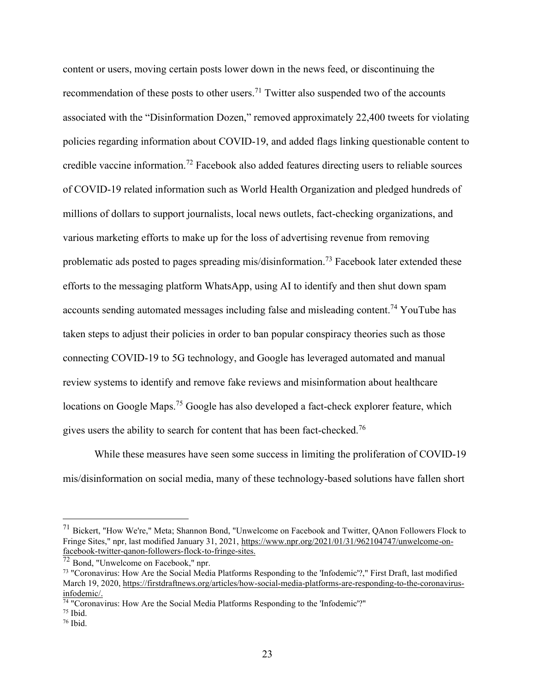content or users, moving certain posts lower down in the news feed, or discontinuing the recommendation of these posts to other users.<sup>71</sup> Twitter also suspended two of the accounts associated with the "Disinformation Dozen," removed approximately 22,400 tweets for violating policies regarding information about COVID-19, and added flags linking questionable content to credible vaccine information.<sup>72</sup> Facebook also added features directing users to reliable sources of COVID-19 related information such as World Health Organization and pledged hundreds of millions of dollars to support journalists, local news outlets, fact-checking organizations, and various marketing efforts to make up for the loss of advertising revenue from removing problematic ads posted to pages spreading mis/disinformation.<sup>73</sup> Facebook later extended these efforts to the messaging platform WhatsApp, using AI to identify and then shut down spam accounts sending automated messages including false and misleading content.<sup>74</sup> YouTube has taken steps to adjust their policies in order to ban popular conspiracy theories such as those connecting COVID-19 to 5G technology, and Google has leveraged automated and manual review systems to identify and remove fake reviews and misinformation about healthcare locations on Google Maps.<sup>75</sup> Google has also developed a fact-check explorer feature, which gives users the ability to search for content that has been fact-checked.<sup>76</sup>

While these measures have seen some success in limiting the proliferation of COVID-19 mis/disinformation on social media, many of these technology-based solutions have fallen short

<sup>71</sup> Bickert, "How We're," Meta; Shannon Bond, "Unwelcome on Facebook and Twitter, QAnon Followers Flock to Fringe Sites," npr, last modified January 31, 2021, [https://www.npr.org/2021/01/31/962104747/unwelcome-on](https://www.npr.org/2021/01/31/962104747/unwelcome-on-facebook-twitter-qanon-followers-flock-to-fringe-sites.)[facebook-twitter-qanon-followers-flock-to-fringe-sites.](https://www.npr.org/2021/01/31/962104747/unwelcome-on-facebook-twitter-qanon-followers-flock-to-fringe-sites.)

<sup>72</sup> Bond, "Unwelcome on Facebook," npr.

<sup>73</sup> "Coronavirus: How Are the Social Media Platforms Responding to the 'Infodemic'?," First Draft, last modified March 19, 2020[, https://firstdraftnews.org/articles/how-social-media-platforms-are-responding-to-the-coronavirus](https://firstdraftnews.org/articles/how-social-media-platforms-are-responding-to-the-coronavirus-infodemic/)[infodemic/.](https://firstdraftnews.org/articles/how-social-media-platforms-are-responding-to-the-coronavirus-infodemic/)

<sup>74</sup> "Coronavirus: How Are the Social Media Platforms Responding to the 'Infodemic'?"

 $75$  Ibid.

 $76$  Ibid.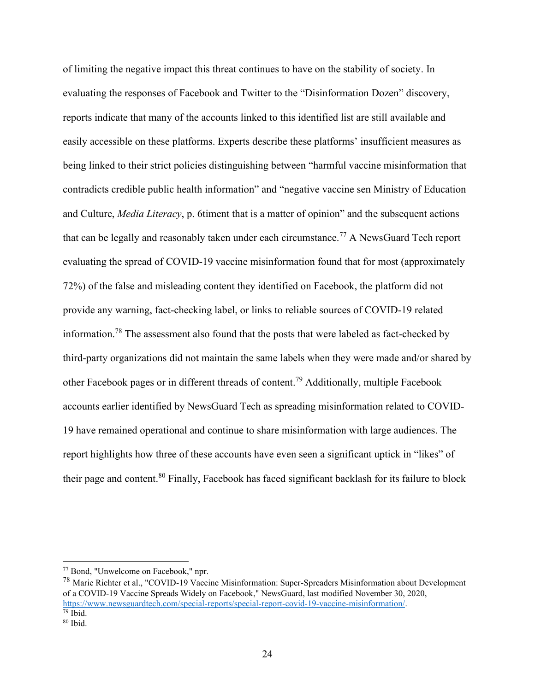of limiting the negative impact this threat continues to have on the stability of society. In evaluating the responses of Facebook and Twitter to the "Disinformation Dozen" discovery, reports indicate that many of the accounts linked to this identified list are still available and easily accessible on these platforms. Experts describe these platforms' insufficient measures as being linked to their strict policies distinguishing between "harmful vaccine misinformation that contradicts credible public health information" and "negative vaccine sen Ministry of Education and Culture, *Media Literacy*, p. 6timent that is a matter of opinion" and the subsequent actions that can be legally and reasonably taken under each circumstance.<sup>77</sup> A NewsGuard Tech report evaluating the spread of COVID-19 vaccine misinformation found that for most (approximately 72%) of the false and misleading content they identified on Facebook, the platform did not provide any warning, fact-checking label, or links to reliable sources of COVID-19 related information.<sup>78</sup> The assessment also found that the posts that were labeled as fact-checked by third-party organizations did not maintain the same labels when they were made and/or shared by other Facebook pages or in different threads of content.<sup>79</sup> Additionally, multiple Facebook accounts earlier identified by NewsGuard Tech as spreading misinformation related to COVID-19 have remained operational and continue to share misinformation with large audiences. The report highlights how three of these accounts have even seen a significant uptick in "likes" of their page and content.<sup>80</sup> Finally, Facebook has faced significant backlash for its failure to block

<sup>77</sup> Bond, "Unwelcome on Facebook," npr.

<sup>78</sup> Marie Richter et al., "COVID-19 Vaccine Misinformation: Super-Spreaders Misinformation about Development of a COVID-19 Vaccine Spreads Widely on Facebook," NewsGuard, last modified November 30, 2020, [https://www.newsguardtech.com/special-reports/special-report-covid-19-vaccine-misinformation/.](https://www.newsguardtech.com/special-reports/special-report-covid-19-vaccine-misinformation/)  $\frac{1}{79}$  Ibid.

 $80$  Ibid.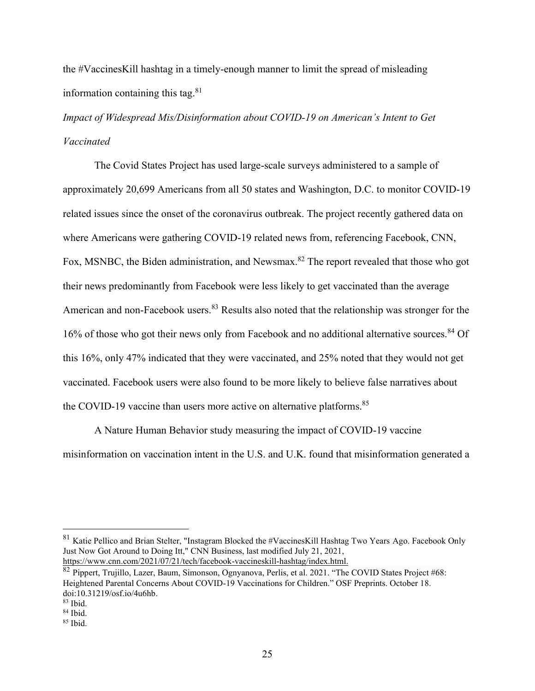the #VaccinesKill hashtag in a timely-enough manner to limit the spread of misleading information containing this tag. $81$ 

*Impact of Widespread Mis/Disinformation about COVID-19 on American's Intent to Get Vaccinated*

The Covid States Project has used large-scale surveys administered to a sample of approximately 20,699 Americans from all 50 states and Washington, D.C. to monitor COVID-19 related issues since the onset of the coronavirus outbreak. The project recently gathered data on where Americans were gathering COVID-19 related news from, referencing Facebook, CNN, Fox, MSNBC, the Biden administration, and Newsmax.<sup>82</sup> The report revealed that those who got their news predominantly from Facebook were less likely to get vaccinated than the average American and non-Facebook users.<sup>83</sup> Results also noted that the relationship was stronger for the 16% of those who got their news only from Facebook and no additional alternative sources.<sup>84</sup> Of this 16%, only 47% indicated that they were vaccinated, and 25% noted that they would not get vaccinated. Facebook users were also found to be more likely to believe false narratives about the COVID-19 vaccine than users more active on alternative platforms.<sup>85</sup>

A Nature Human Behavior study measuring the impact of COVID-19 vaccine misinformation on vaccination intent in the U.S. and U.K. found that misinformation generated a

<sup>81</sup> Katie Pellico and Brian Stelter, "Instagram Blocked the #VaccinesKill Hashtag Two Years Ago. Facebook Only Just Now Got Around to Doing Itt," CNN Business, last modified July 21, 2021, <https://www.cnn.com/2021/07/21/tech/facebook-vaccineskill-hashtag/index.html.>

<sup>82</sup> Pippert, Trujillo, Lazer, Baum, Simonson, Ognyanova, Perlis, et al. 2021. "The COVID States Project #68: Heightened Parental Concerns About COVID-19 Vaccinations for Children." OSF Preprints. October 18. doi:10.31219/osf.io/4u6hb.

<sup>83</sup> Ibid.

<sup>84</sup> Ibid.

<sup>85</sup> Ibid.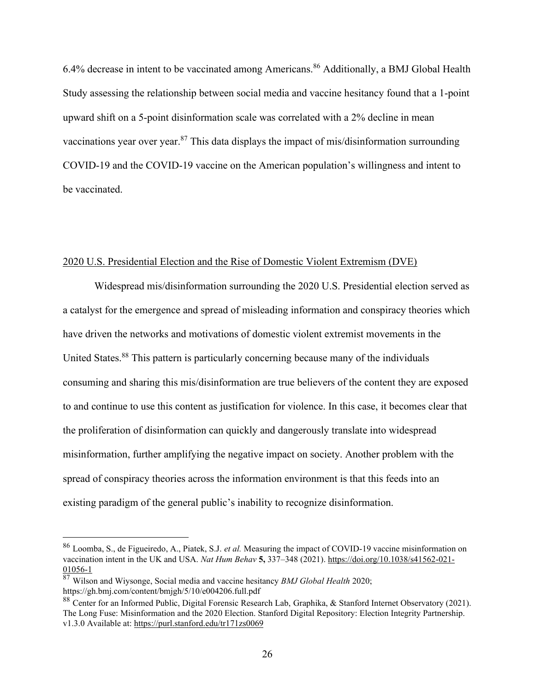6.4% decrease in intent to be vaccinated among Americans.<sup>86</sup> Additionally, a BMJ Global Health Study assessing the relationship between social media and vaccine hesitancy found that a 1-point upward shift on a 5-point disinformation scale was correlated with a 2% decline in mean vaccinations year over year.<sup>87</sup> This data displays the impact of mis/disinformation surrounding COVID-19 and the COVID-19 vaccine on the American population's willingness and intent to be vaccinated.

## 2020 U.S. Presidential Election and the Rise of Domestic Violent Extremism (DVE)

Widespread mis/disinformation surrounding the 2020 U.S. Presidential election served as a catalyst for the emergence and spread of misleading information and conspiracy theories which have driven the networks and motivations of domestic violent extremist movements in the United States.<sup>88</sup> This pattern is particularly concerning because many of the individuals consuming and sharing this mis/disinformation are true believers of the content they are exposed to and continue to use this content as justification for violence. In this case, it becomes clear that the proliferation of disinformation can quickly and dangerously translate into widespread misinformation, further amplifying the negative impact on society. Another problem with the spread of conspiracy theories across the information environment is that this feeds into an existing paradigm of the general public's inability to recognize disinformation.

<sup>86</sup> Loomba, S., de Figueiredo, A., Piatek, S.J. *et al.* Measuring the impact of COVID-19 vaccine misinformation on vaccination intent in the UK and USA. *Nat Hum Behav* **5,** 337–348 (2021). [https://doi.org/10.1038/s41562-021-](https://doi.org/10.1038/s41562-021-01056-1) [01056-1](https://doi.org/10.1038/s41562-021-01056-1)

<sup>87</sup> Wilson and Wiysonge, Social media and vaccine hesitancy *BMJ Global Health* 2020; https://gh.bmj.com/content/bmjgh/5/10/e004206.full.pdf

<sup>88</sup> Center for an Informed Public, Digital Forensic Research Lab, Graphika, & Stanford Internet Observatory (2021). The Long Fuse: Misinformation and the 2020 Election. Stanford Digital Repository: Election Integrity Partnership. v1.3.0 Available at: <https://purl.stanford.edu/tr171zs0069>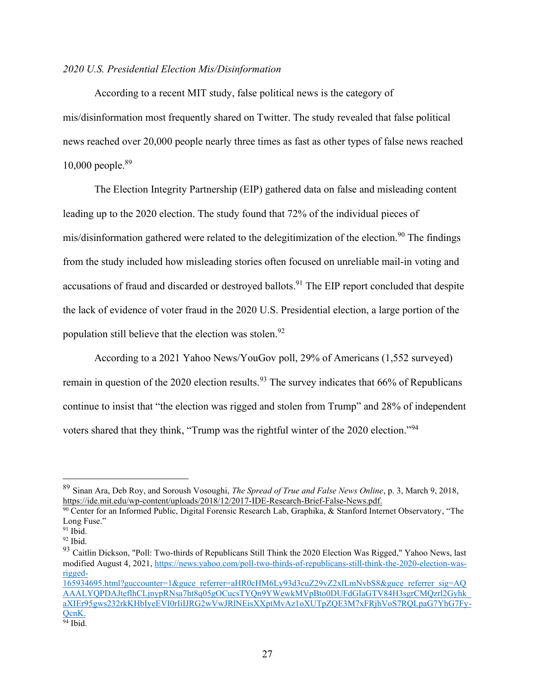## *2020 U.S. Presidential Election Mis/Disinformation*

According to a recent MIT study, false political news is the category of mis/disinformation most frequently shared on Twitter. The study revealed that false political news reached over 20,000 people nearly three times as fast as other types of false news reached 10,000 people.<sup>89</sup>

The Election Integrity Partnership (EIP) gathered data on false and misleading content leading up to the 2020 election. The study found that 72% of the individual pieces of mis/disinformation gathered were related to the delegitimization of the election.<sup>90</sup> The findings from the study included how misleading stories often focused on unreliable mail-in voting and accusations of fraud and discarded or destroyed ballots.<sup>91</sup> The EIP report concluded that despite the lack of evidence of voter fraud in the 2020 U.S. Presidential election, a large portion of the population still believe that the election was stolen.<sup>92</sup>

According to a 2021 Yahoo News/YouGov poll, 29% of Americans (1,552 surveyed) remain in question of the 2020 election results.<sup>93</sup> The survey indicates that 66% of Republicans continue to insist that "the election was rigged and stolen from Trump" and 28% of independent voters shared that they think, "Trump was the rightful winter of the 2020 election."<sup>94</sup>

<sup>89</sup> Sinan Ara, Deb Roy, and Soroush Vosoughi, *The Spread of True and False News Online*, p. 3, March 9, 2018, <https://ide.mit.edu/wp-content/uploads/2018/12/2017-IDE-Research-Brief-False-News.pdf.>

<sup>90</sup> Center for an Informed Public, Digital Forensic Research Lab, Graphika, & Stanford Internet Observatory, "The Long Fuse."

 $91$  Ibid.

<sup>92</sup> Ibid.

<sup>&</sup>lt;sup>93</sup> Caitlin Dickson, "Poll: Two-thirds of Republicans Still Think the 2020 Election Was Rigged," Yahoo News, last modified August 4, 2021, [https://news.yahoo.com/poll-two-thirds-of-republicans-still-think-the-2020-election-was](https://news.yahoo.com/poll-two-thirds-of-republicans-still-think-the-2020-election-was-rigged-165934695.html?guccounter=1&guce_referrer=aHR0cHM6Ly93d3cuZ29vZ2xlLmNvbS8&guce_referrer_sig=AQAAALYQPDAJteflhCLjnypRNsa7ht8q05gOCucsTYQn9YWewkMVpBto0DUFdGIaGTV84H3sgrCMQzrl2Gyhk_aXIEr95gws232rkKHbIyeEVI0rIiIJRG2wVwJRlNEisXXptMvAz1oXUTpZQE3M7xFRjhVoS7RQLpaG7YhG7Fy-QcnK.)[rigged-](https://news.yahoo.com/poll-two-thirds-of-republicans-still-think-the-2020-election-was-rigged-165934695.html?guccounter=1&guce_referrer=aHR0cHM6Ly93d3cuZ29vZ2xlLmNvbS8&guce_referrer_sig=AQAAALYQPDAJteflhCLjnypRNsa7ht8q05gOCucsTYQn9YWewkMVpBto0DUFdGIaGTV84H3sgrCMQzrl2Gyhk_aXIEr95gws232rkKHbIyeEVI0rIiIJRG2wVwJRlNEisXXptMvAz1oXUTpZQE3M7xFRjhVoS7RQLpaG7YhG7Fy-QcnK.)

[<sup>165934695.</sup>html?guccounter=1&guce\\_referrer=aHR0cHM6Ly93d3cuZ29vZ2xlLmNvbS8&guce\\_referrer\\_sig=AQ](https://news.yahoo.com/poll-two-thirds-of-republicans-still-think-the-2020-election-was-rigged-165934695.html?guccounter=1&guce_referrer=aHR0cHM6Ly93d3cuZ29vZ2xlLmNvbS8&guce_referrer_sig=AQAAALYQPDAJteflhCLjnypRNsa7ht8q05gOCucsTYQn9YWewkMVpBto0DUFdGIaGTV84H3sgrCMQzrl2Gyhk_aXIEr95gws232rkKHbIyeEVI0rIiIJRG2wVwJRlNEisXXptMvAz1oXUTpZQE3M7xFRjhVoS7RQLpaG7YhG7Fy-QcnK.) [AAALYQPDAJteflhCLjnypRNsa7ht8q05gOCucsTYQn9YWewkMVpBto0DUFdGIaGTV84H3sgrCMQzrl2Gyhk\\_](https://news.yahoo.com/poll-two-thirds-of-republicans-still-think-the-2020-election-was-rigged-165934695.html?guccounter=1&guce_referrer=aHR0cHM6Ly93d3cuZ29vZ2xlLmNvbS8&guce_referrer_sig=AQAAALYQPDAJteflhCLjnypRNsa7ht8q05gOCucsTYQn9YWewkMVpBto0DUFdGIaGTV84H3sgrCMQzrl2Gyhk_aXIEr95gws232rkKHbIyeEVI0rIiIJRG2wVwJRlNEisXXptMvAz1oXUTpZQE3M7xFRjhVoS7RQLpaG7YhG7Fy-QcnK.) [aXIEr95gws232rkKHbIyeEVI0rIiIJRG2wVwJRlNEisXXptMvAz1oXUTpZQE3M7xFRjhVoS7RQLpaG7YhG7Fy-](https://news.yahoo.com/poll-two-thirds-of-republicans-still-think-the-2020-election-was-rigged-165934695.html?guccounter=1&guce_referrer=aHR0cHM6Ly93d3cuZ29vZ2xlLmNvbS8&guce_referrer_sig=AQAAALYQPDAJteflhCLjnypRNsa7ht8q05gOCucsTYQn9YWewkMVpBto0DUFdGIaGTV84H3sgrCMQzrl2Gyhk_aXIEr95gws232rkKHbIyeEVI0rIiIJRG2wVwJRlNEisXXptMvAz1oXUTpZQE3M7xFRjhVoS7RQLpaG7YhG7Fy-QcnK.)[QcnK.](https://news.yahoo.com/poll-two-thirds-of-republicans-still-think-the-2020-election-was-rigged-165934695.html?guccounter=1&guce_referrer=aHR0cHM6Ly93d3cuZ29vZ2xlLmNvbS8&guce_referrer_sig=AQAAALYQPDAJteflhCLjnypRNsa7ht8q05gOCucsTYQn9YWewkMVpBto0DUFdGIaGTV84H3sgrCMQzrl2Gyhk_aXIEr95gws232rkKHbIyeEVI0rIiIJRG2wVwJRlNEisXXptMvAz1oXUTpZQE3M7xFRjhVoS7RQLpaG7YhG7Fy-QcnK.)

 $94$  Ibid.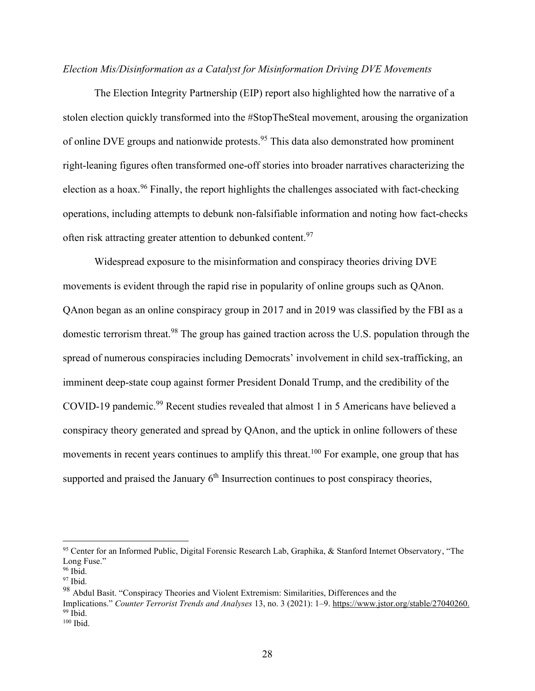## *Election Mis/Disinformation as a Catalyst for Misinformation Driving DVE Movements*

The Election Integrity Partnership (EIP) report also highlighted how the narrative of a stolen election quickly transformed into the #StopTheSteal movement, arousing the organization of online DVE groups and nationwide protests.<sup>95</sup> This data also demonstrated how prominent right-leaning figures often transformed one-off stories into broader narratives characterizing the election as a hoax.<sup>96</sup> Finally, the report highlights the challenges associated with fact-checking operations, including attempts to debunk non-falsifiable information and noting how fact-checks often risk attracting greater attention to debunked content.<sup>97</sup>

Widespread exposure to the misinformation and conspiracy theories driving DVE movements is evident through the rapid rise in popularity of online groups such as QAnon. QAnon began as an online conspiracy group in 2017 and in 2019 was classified by the FBI as a domestic terrorism threat.<sup>98</sup> The group has gained traction across the U.S. population through the spread of numerous conspiracies including Democrats' involvement in child sex-trafficking, an imminent deep-state coup against former President Donald Trump, and the credibility of the COVID-19 pandemic.<sup>99</sup> Recent studies revealed that almost 1 in 5 Americans have believed a conspiracy theory generated and spread by QAnon, and the uptick in online followers of these movements in recent years continues to amplify this threat.<sup>100</sup> For example, one group that has supported and praised the January  $6<sup>th</sup>$  Insurrection continues to post conspiracy theories,

<sup>&</sup>lt;sup>95</sup> Center for an Informed Public, Digital Forensic Research Lab, Graphika, & Stanford Internet Observatory, "The Long Fuse."

 $96$  Ibid.

<sup>97</sup> Ibid.

<sup>&</sup>lt;sup>98</sup> Abdul Basit. "Conspiracy Theories and Violent Extremism: Similarities, Differences and the

Implications." *Counter Terrorist Trends and Analyses* 13, no. 3 (2021): 1–9[. https://www.jstor.org/stable/27040260.](https://www.jstor.org/stable/27040260.)  $99$  Ibid.

<sup>100</sup> Ibid.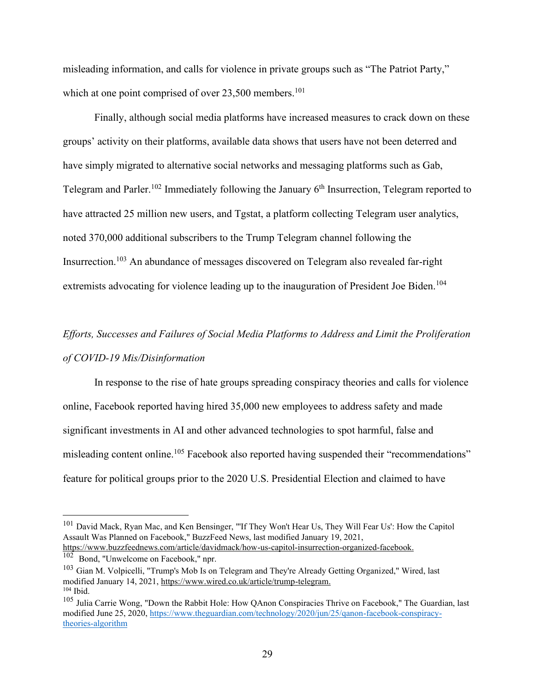misleading information, and calls for violence in private groups such as "The Patriot Party," which at one point comprised of over  $23,500$  members.<sup>101</sup>

Finally, although social media platforms have increased measures to crack down on these groups' activity on their platforms, available data shows that users have not been deterred and have simply migrated to alternative social networks and messaging platforms such as Gab, Telegram and Parler.<sup>102</sup> Immediately following the January 6<sup>th</sup> Insurrection, Telegram reported to have attracted 25 million new users, and Tgstat, a platform collecting Telegram user analytics, noted 370,000 additional subscribers to the Trump Telegram channel following the Insurrection.<sup>103</sup> An abundance of messages discovered on Telegram also revealed far-right extremists advocating for violence leading up to the inauguration of President Joe Biden.<sup>104</sup>

# *Efforts, Successes and Failures of Social Media Platforms to Address and Limit the Proliferation of COVID-19 Mis/Disinformation*

In response to the rise of hate groups spreading conspiracy theories and calls for violence online, Facebook reported having hired 35,000 new employees to address safety and made significant investments in AI and other advanced technologies to spot harmful, false and misleading content online.<sup>105</sup> Facebook also reported having suspended their "recommendations" feature for political groups prior to the 2020 U.S. Presidential Election and claimed to have

<sup>101</sup> David Mack, Ryan Mac, and Ken Bensinger, "'If They Won't Hear Us, They Will Fear Us': How the Capitol Assault Was Planned on Facebook," BuzzFeed News, last modified January 19, 2021,

<https://www.buzzfeednews.com/article/davidmack/how-us-capitol-insurrection-organized-facebook.>

<sup>102</sup> Bond, "Unwelcome on Facebook," npr.

<sup>&</sup>lt;sup>103</sup> Gian M. Volpicelli, "Trump's Mob Is on Telegram and They're Already Getting Organized," Wired, last modified January 14, 2021,<https://www.wired.co.uk/article/trump-telegram.> <sup>104</sup> Ibid.

<sup>&</sup>lt;sup>105</sup> Julia Carrie Wong, "Down the Rabbit Hole: How QAnon Conspiracies Thrive on Facebook," The Guardian, last modified June 25, 2020, [https://www.theguardian.com/technology/2020/jun/25/qanon-facebook-conspiracy](https://www.theguardian.com/technology/2020/jun/25/qanon-facebook-conspiracy-theories-algorithm)[theories-algorithm](https://www.theguardian.com/technology/2020/jun/25/qanon-facebook-conspiracy-theories-algorithm)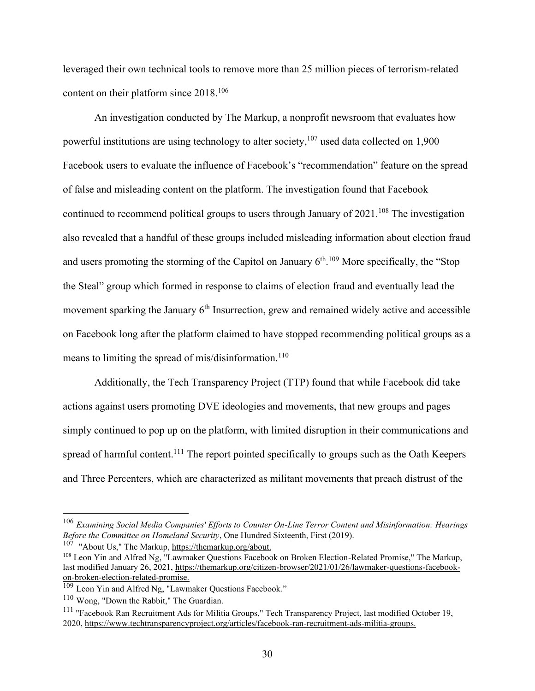leveraged their own technical tools to remove more than 25 million pieces of terrorism-related content on their platform since 2018.<sup>106</sup>

An investigation conducted by The Markup, a nonprofit newsroom that evaluates how powerful institutions are using technology to alter society,  $107$  used data collected on 1,900 Facebook users to evaluate the influence of Facebook's "recommendation" feature on the spread of false and misleading content on the platform. The investigation found that Facebook continued to recommend political groups to users through January of 2021.<sup>108</sup> The investigation also revealed that a handful of these groups included misleading information about election fraud and users promoting the storming of the Capitol on January  $6<sup>th,109</sup>$  More specifically, the "Stop the Steal" group which formed in response to claims of election fraud and eventually lead the movement sparking the January  $6<sup>th</sup>$  Insurrection, grew and remained widely active and accessible on Facebook long after the platform claimed to have stopped recommending political groups as a means to limiting the spread of mis/disinformation.<sup>110</sup>

Additionally, the Tech Transparency Project (TTP) found that while Facebook did take actions against users promoting DVE ideologies and movements, that new groups and pages simply continued to pop up on the platform, with limited disruption in their communications and spread of harmful content.<sup>111</sup> The report pointed specifically to groups such as the Oath Keepers and Three Percenters, which are characterized as militant movements that preach distrust of the

<sup>107</sup> "About Us," The Markup[, https://themarkup.org/about.](https://themarkup.org/about.)

<sup>106</sup> *Examining Social Media Companies' Efforts to Counter On-Line Terror Content and Misinformation: Hearings Before the Committee on Homeland Security*, One Hundred Sixteenth, First (2019).

<sup>&</sup>lt;sup>108</sup> Leon Yin and Alfred Ng, "Lawmaker Questions Facebook on Broken Election-Related Promise," The Markup, last modified January 26, 2021, [https://themarkup.org/citizen-browser/2021/01/26/lawmaker-questions-facebook](https://themarkup.org/citizen-browser/2021/01/26/lawmaker-questions-facebook-on-broken-election-related-promise.)[on-broken-election-related-promise.](https://themarkup.org/citizen-browser/2021/01/26/lawmaker-questions-facebook-on-broken-election-related-promise.)

<sup>&</sup>lt;sup>109</sup> Leon Yin and Alfred Ng, "Lawmaker Questions Facebook."

<sup>110</sup> Wong, "Down the Rabbit," The Guardian.

<sup>&</sup>lt;sup>111</sup> "Facebook Ran Recruitment Ads for Militia Groups," Tech Transparency Project, last modified October 19, 2020,<https://www.techtransparencyproject.org/articles/facebook-ran-recruitment-ads-militia-groups.>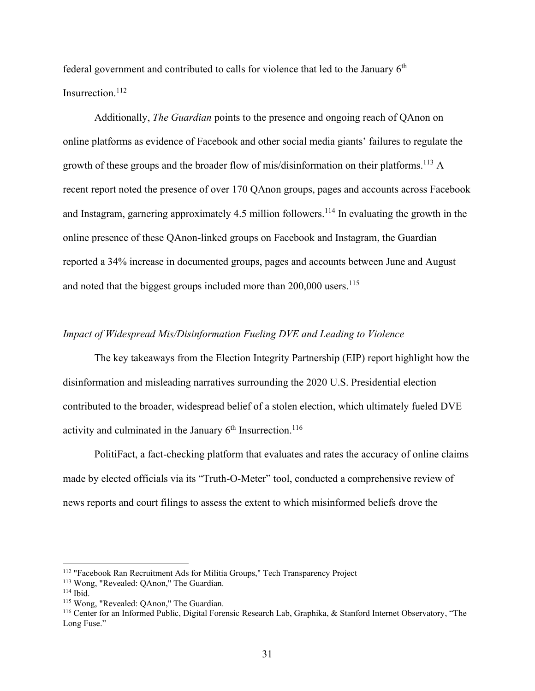federal government and contributed to calls for violence that led to the January  $6<sup>th</sup>$ Insurrection. $^{112}$ 

Additionally, *The Guardian* points to the presence and ongoing reach of QAnon on online platforms as evidence of Facebook and other social media giants' failures to regulate the growth of these groups and the broader flow of mis/disinformation on their platforms.<sup>113</sup> A recent report noted the presence of over 170 QAnon groups, pages and accounts across Facebook and Instagram, garnering approximately 4.5 million followers.<sup>114</sup> In evaluating the growth in the online presence of these QAnon-linked groups on Facebook and Instagram, the Guardian reported a 34% increase in documented groups, pages and accounts between June and August and noted that the biggest groups included more than  $200,000$  users.<sup>115</sup>

## *Impact of Widespread Mis/Disinformation Fueling DVE and Leading to Violence*

The key takeaways from the Election Integrity Partnership (EIP) report highlight how the disinformation and misleading narratives surrounding the 2020 U.S. Presidential election contributed to the broader, widespread belief of a stolen election, which ultimately fueled DVE activity and culminated in the January  $6<sup>th</sup>$  Insurrection.<sup>116</sup>

PolitiFact, a fact-checking platform that evaluates and rates the accuracy of online claims made by elected officials via its "Truth-O-Meter" tool, conducted a comprehensive review of news reports and court filings to assess the extent to which misinformed beliefs drove the

<sup>112</sup> "Facebook Ran Recruitment Ads for Militia Groups," Tech Transparency Project

<sup>113</sup> Wong, "Revealed: QAnon," The Guardian.

 $114$  Ibid.

<sup>115</sup> Wong, "Revealed: QAnon," The Guardian.

<sup>116</sup> Center for an Informed Public, Digital Forensic Research Lab, Graphika, & Stanford Internet Observatory, "The Long Fuse."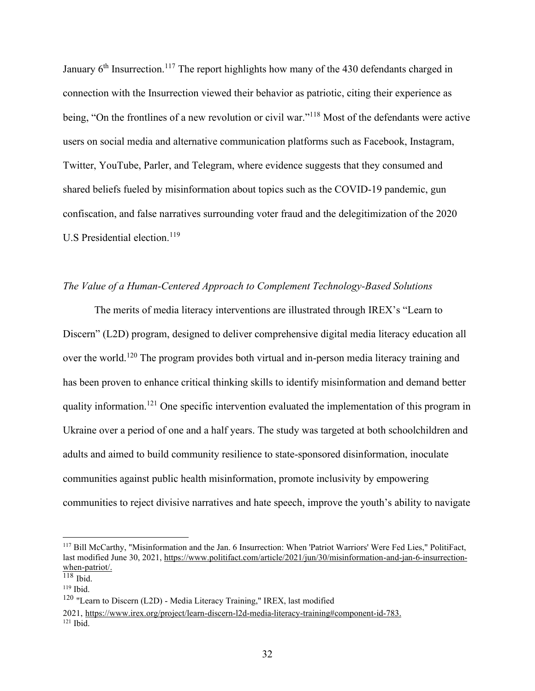January  $6<sup>th</sup>$  Insurrection.<sup>117</sup> The report highlights how many of the 430 defendants charged in connection with the Insurrection viewed their behavior as patriotic, citing their experience as being, "On the frontlines of a new revolution or civil war."<sup>118</sup> Most of the defendants were active users on social media and alternative communication platforms such as Facebook, Instagram, Twitter, YouTube, Parler, and Telegram, where evidence suggests that they consumed and shared beliefs fueled by misinformation about topics such as the COVID-19 pandemic, gun confiscation, and false narratives surrounding voter fraud and the delegitimization of the 2020 U.S Presidential election.<sup>119</sup>

## *The Value of a Human-Centered Approach to Complement Technology-Based Solutions*

The merits of media literacy interventions are illustrated through IREX's "Learn to Discern" (L2D) program, designed to deliver comprehensive digital media literacy education all over the world.<sup>120</sup> The program provides both virtual and in-person media literacy training and has been proven to enhance critical thinking skills to identify misinformation and demand better quality information.<sup>121</sup> One specific intervention evaluated the implementation of this program in Ukraine over a period of one and a half years. The study was targeted at both schoolchildren and adults and aimed to build community resilience to state-sponsored disinformation, inoculate communities against public health misinformation, promote inclusivity by empowering communities to reject divisive narratives and hate speech, improve the youth's ability to navigate

<sup>&</sup>lt;sup>117</sup> Bill McCarthy, "Misinformation and the Jan. 6 Insurrection: When 'Patriot Warriors' Were Fed Lies," PolitiFact, last modified June 30, 2021, [https://www.politifact.com/article/2021/jun/30/misinformation-and-jan-6-insurrection](https://www.politifact.com/article/2021/jun/30/misinformation-and-jan-6-insurrection-when-patriot/)[when-patriot/.](https://www.politifact.com/article/2021/jun/30/misinformation-and-jan-6-insurrection-when-patriot/)

 $118$  Ibid.

<sup>119</sup> Ibid.

<sup>120</sup> "Learn to Discern (L2D) - Media Literacy Training," IREX, last modified

<sup>2021,</sup> <https://www.irex.org/project/learn-discern-l2d-media-literacy-training#component-id-783.>  $121$  Ibid.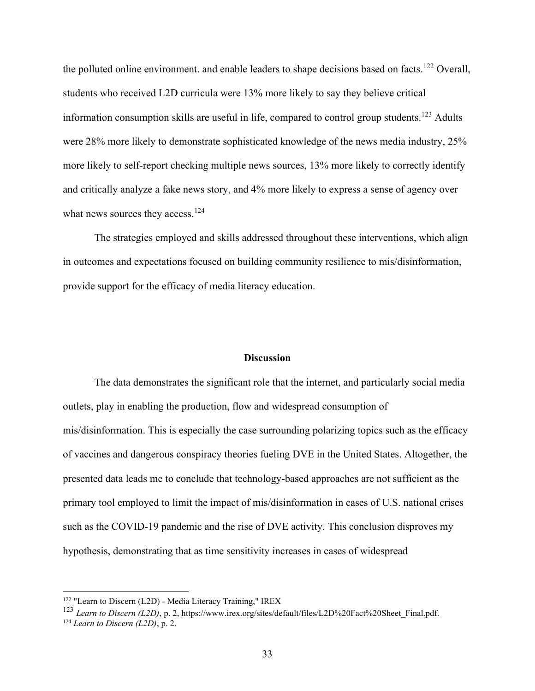the polluted online environment. and enable leaders to shape decisions based on facts.<sup>122</sup> Overall, students who received L2D curricula were 13% more likely to say they believe critical information consumption skills are useful in life, compared to control group students.<sup>123</sup> Adults were 28% more likely to demonstrate sophisticated knowledge of the news media industry, 25% more likely to self-report checking multiple news sources, 13% more likely to correctly identify and critically analyze a fake news story, and 4% more likely to express a sense of agency over what news sources they access.<sup>124</sup>

The strategies employed and skills addressed throughout these interventions, which align in outcomes and expectations focused on building community resilience to mis/disinformation, provide support for the efficacy of media literacy education.

#### **Discussion**

The data demonstrates the significant role that the internet, and particularly social media outlets, play in enabling the production, flow and widespread consumption of mis/disinformation. This is especially the case surrounding polarizing topics such as the efficacy of vaccines and dangerous conspiracy theories fueling DVE in the United States. Altogether, the presented data leads me to conclude that technology-based approaches are not sufficient as the primary tool employed to limit the impact of mis/disinformation in cases of U.S. national crises such as the COVID-19 pandemic and the rise of DVE activity. This conclusion disproves my hypothesis, demonstrating that as time sensitivity increases in cases of widespread

<sup>122</sup> "Learn to Discern (L2D) - Media Literacy Training," IREX

<sup>&</sup>lt;sup>123</sup> *Learn to Discern (L2D)*, p. 2[, https://www.irex.org/sites/default/files/L2D%20Fact%20Sheet\\_Final.pdf.](https://www.irex.org/sites/default/files/L2D%20Fact%20Sheet_Final.pdf.) <sup>124</sup> *Learn to Discern (L2D)*, p. 2.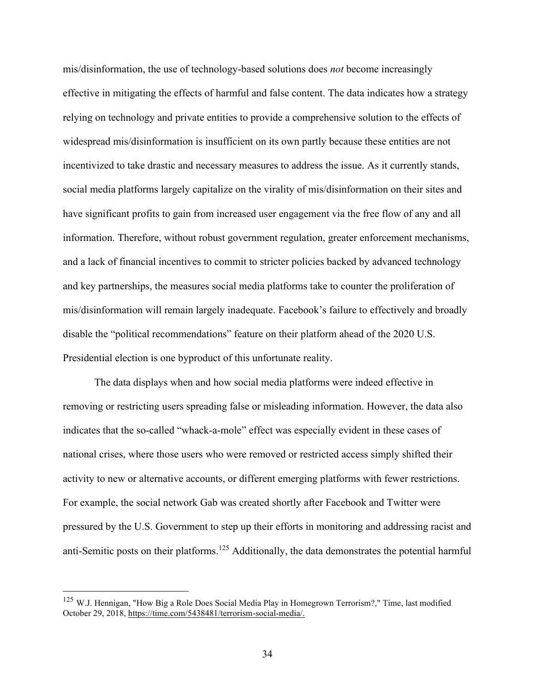mis/disinformation, the use of technology-based solutions does *not* become increasingly effective in mitigating the effects of harmful and false content. The data indicates how a strategy relying on technology and private entities to provide a comprehensive solution to the effects of widespread mis/disinformation is insufficient on its own partly because these entities are not incentivized to take drastic and necessary measures to address the issue. As it currently stands, social media platforms largely capitalize on the virality of mis/disinformation on their sites and have significant profits to gain from increased user engagement via the free flow of any and all information. Therefore, without robust government regulation, greater enforcement mechanisms, and a lack of financial incentives to commit to stricter policies backed by advanced technology and key partnerships, the measures social media platforms take to counter the proliferation of mis/disinformation will remain largely inadequate. Facebook's failure to effectively and broadly disable the "political recommendations" feature on their platform ahead of the 2020 U.S. Presidential election is one byproduct of this unfortunate reality.

The data displays when and how social media platforms were indeed effective in removing or restricting users spreading false or misleading information. However, the data also indicates that the so-called "whack-a-mole" effect was especially evident in these cases of national crises, where those users who were removed or restricted access simply shifted their activity to new or alternative accounts, or different emerging platforms with fewer restrictions. For example, the social network Gab was created shortly after Facebook and Twitter were pressured by the U.S. Government to step up their efforts in monitoring and addressing racist and anti-Semitic posts on their platforms.<sup>125</sup> Additionally, the data demonstrates the potential harmful

<sup>&</sup>lt;sup>125</sup> W.J. Hennigan, "How Big a Role Does Social Media Play in Homegrown Terrorism?," Time, last modified October 29, 2018[, https://time.com/5438481/terrorism-social-media/.](https://time.com/5438481/terrorism-social-media/)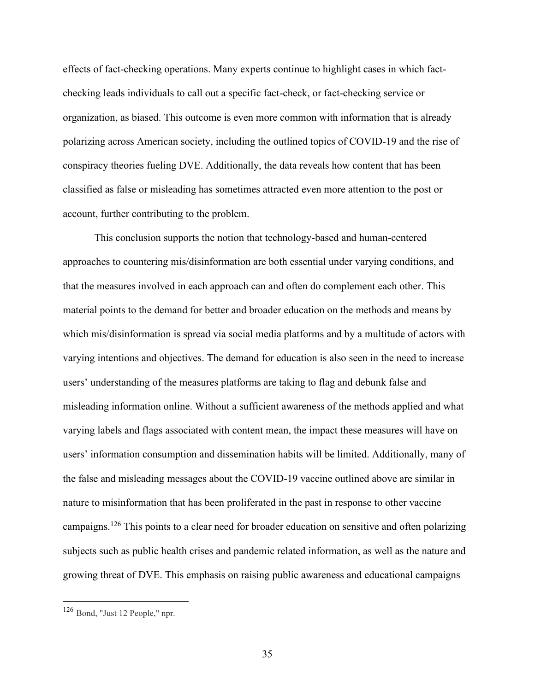effects of fact-checking operations. Many experts continue to highlight cases in which factchecking leads individuals to call out a specific fact-check, or fact-checking service or organization, as biased. This outcome is even more common with information that is already polarizing across American society, including the outlined topics of COVID-19 and the rise of conspiracy theories fueling DVE. Additionally, the data reveals how content that has been classified as false or misleading has sometimes attracted even more attention to the post or account, further contributing to the problem.

This conclusion supports the notion that technology-based and human-centered approaches to countering mis/disinformation are both essential under varying conditions, and that the measures involved in each approach can and often do complement each other. This material points to the demand for better and broader education on the methods and means by which mis/disinformation is spread via social media platforms and by a multitude of actors with varying intentions and objectives. The demand for education is also seen in the need to increase users' understanding of the measures platforms are taking to flag and debunk false and misleading information online. Without a sufficient awareness of the methods applied and what varying labels and flags associated with content mean, the impact these measures will have on users' information consumption and dissemination habits will be limited. Additionally, many of the false and misleading messages about the COVID-19 vaccine outlined above are similar in nature to misinformation that has been proliferated in the past in response to other vaccine campaigns.<sup>126</sup> This points to a clear need for broader education on sensitive and often polarizing subjects such as public health crises and pandemic related information, as well as the nature and growing threat of DVE. This emphasis on raising public awareness and educational campaigns

<sup>126</sup> Bond, "Just 12 People," npr.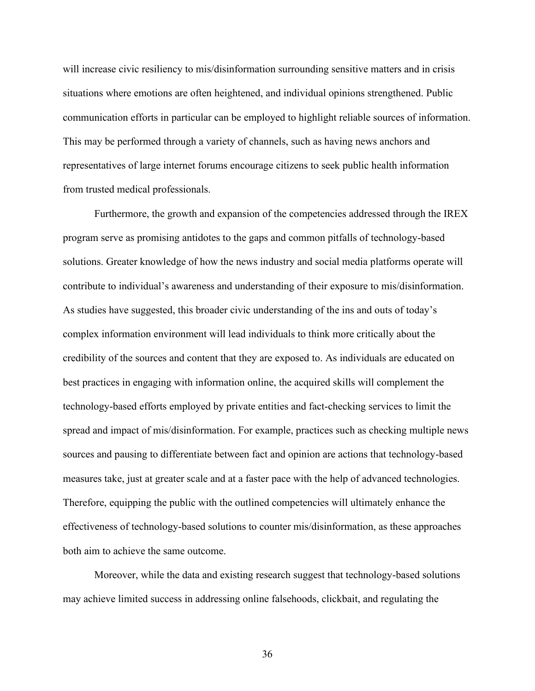will increase civic resiliency to mis/disinformation surrounding sensitive matters and in crisis situations where emotions are often heightened, and individual opinions strengthened. Public communication efforts in particular can be employed to highlight reliable sources of information. This may be performed through a variety of channels, such as having news anchors and representatives of large internet forums encourage citizens to seek public health information from trusted medical professionals.

Furthermore, the growth and expansion of the competencies addressed through the IREX program serve as promising antidotes to the gaps and common pitfalls of technology-based solutions. Greater knowledge of how the news industry and social media platforms operate will contribute to individual's awareness and understanding of their exposure to mis/disinformation. As studies have suggested, this broader civic understanding of the ins and outs of today's complex information environment will lead individuals to think more critically about the credibility of the sources and content that they are exposed to. As individuals are educated on best practices in engaging with information online, the acquired skills will complement the technology-based efforts employed by private entities and fact-checking services to limit the spread and impact of mis/disinformation. For example, practices such as checking multiple news sources and pausing to differentiate between fact and opinion are actions that technology-based measures take, just at greater scale and at a faster pace with the help of advanced technologies. Therefore, equipping the public with the outlined competencies will ultimately enhance the effectiveness of technology-based solutions to counter mis/disinformation, as these approaches both aim to achieve the same outcome.

Moreover, while the data and existing research suggest that technology-based solutions may achieve limited success in addressing online falsehoods, clickbait, and regulating the

36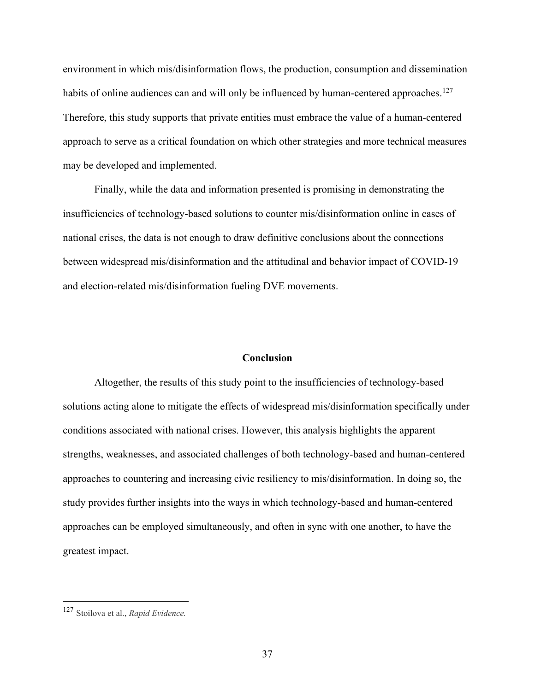environment in which mis/disinformation flows, the production, consumption and dissemination habits of online audiences can and will only be influenced by human-centered approaches.<sup>127</sup> Therefore, this study supports that private entities must embrace the value of a human-centered approach to serve as a critical foundation on which other strategies and more technical measures may be developed and implemented.

Finally, while the data and information presented is promising in demonstrating the insufficiencies of technology-based solutions to counter mis/disinformation online in cases of national crises, the data is not enough to draw definitive conclusions about the connections between widespread mis/disinformation and the attitudinal and behavior impact of COVID-19 and election-related mis/disinformation fueling DVE movements.

#### **Conclusion**

Altogether, the results of this study point to the insufficiencies of technology-based solutions acting alone to mitigate the effects of widespread mis/disinformation specifically under conditions associated with national crises. However, this analysis highlights the apparent strengths, weaknesses, and associated challenges of both technology-based and human-centered approaches to countering and increasing civic resiliency to mis/disinformation. In doing so, the study provides further insights into the ways in which technology-based and human-centered approaches can be employed simultaneously, and often in sync with one another, to have the greatest impact.

<sup>127</sup> Stoilova et al., *Rapid Evidence.*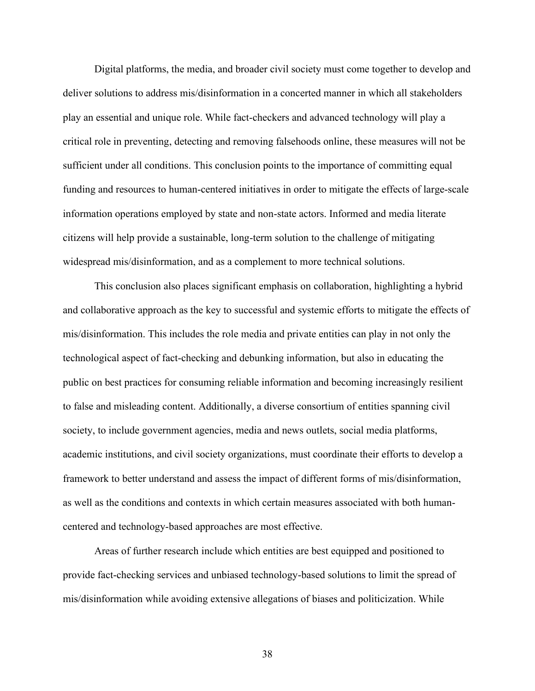Digital platforms, the media, and broader civil society must come together to develop and deliver solutions to address mis/disinformation in a concerted manner in which all stakeholders play an essential and unique role. While fact-checkers and advanced technology will play a critical role in preventing, detecting and removing falsehoods online, these measures will not be sufficient under all conditions. This conclusion points to the importance of committing equal funding and resources to human-centered initiatives in order to mitigate the effects of large-scale information operations employed by state and non-state actors. Informed and media literate citizens will help provide a sustainable, long-term solution to the challenge of mitigating widespread mis/disinformation, and as a complement to more technical solutions.

This conclusion also places significant emphasis on collaboration, highlighting a hybrid and collaborative approach as the key to successful and systemic efforts to mitigate the effects of mis/disinformation. This includes the role media and private entities can play in not only the technological aspect of fact-checking and debunking information, but also in educating the public on best practices for consuming reliable information and becoming increasingly resilient to false and misleading content. Additionally, a diverse consortium of entities spanning civil society, to include government agencies, media and news outlets, social media platforms, academic institutions, and civil society organizations, must coordinate their efforts to develop a framework to better understand and assess the impact of different forms of mis/disinformation, as well as the conditions and contexts in which certain measures associated with both humancentered and technology-based approaches are most effective.

Areas of further research include which entities are best equipped and positioned to provide fact-checking services and unbiased technology-based solutions to limit the spread of mis/disinformation while avoiding extensive allegations of biases and politicization. While

38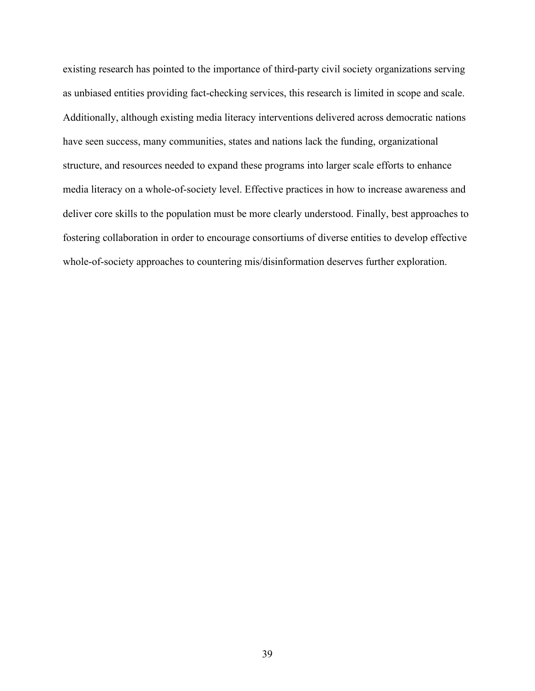existing research has pointed to the importance of third-party civil society organizations serving as unbiased entities providing fact-checking services, this research is limited in scope and scale. Additionally, although existing media literacy interventions delivered across democratic nations have seen success, many communities, states and nations lack the funding, organizational structure, and resources needed to expand these programs into larger scale efforts to enhance media literacy on a whole-of-society level. Effective practices in how to increase awareness and deliver core skills to the population must be more clearly understood. Finally, best approaches to fostering collaboration in order to encourage consortiums of diverse entities to develop effective whole-of-society approaches to countering mis/disinformation deserves further exploration.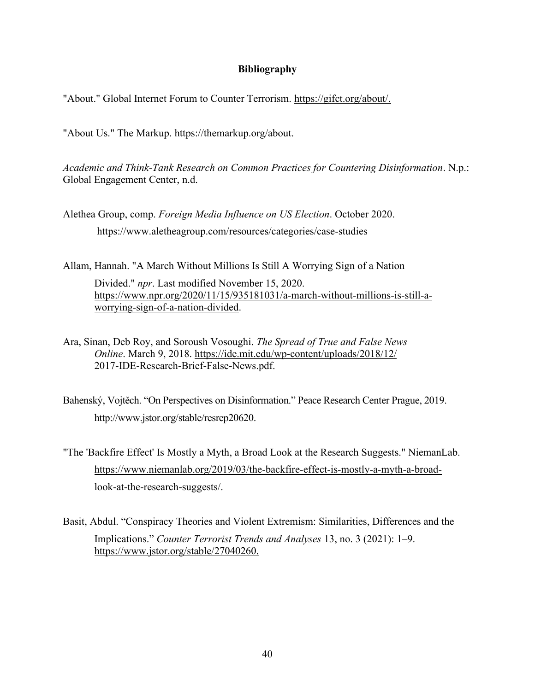## **Bibliography**

"About." Global Internet Forum to Counter Terrorism. [https://gifct.org/about/.](https://gifct.org/about/)

"About Us." The Markup.<https://themarkup.org/about.>

*Academic and Think-Tank Research on Common Practices for Countering Disinformation*. N.p.: Global Engagement Center, n.d.

Alethea Group, comp. *Foreign Media Influence on US Election*. October 2020. https://www.aletheagroup.com/resources/categories/case-studies

Allam, Hannah. "A March Without Millions Is Still A Worrying Sign of a Nation Divided." *npr*. Last modified November 15, 2020. [https://www.npr.org/2020/11/15/935181031/a-march-without-millions-is-still-a](https://www.npr.org/2020/11/15/935181031/a-march-without-millions-is-still-a-worrying-sign-of-a-nation-divided)[worrying-sign-of-a-nation-divided.](https://www.npr.org/2020/11/15/935181031/a-march-without-millions-is-still-a-worrying-sign-of-a-nation-divided)

Ara, Sinan, Deb Roy, and Soroush Vosoughi. *The Spread of True and False News Online*. March 9, 2018.<https://ide.mit.edu/wp-content/uploads/2018/12/> 2017-IDE-Research-Brief-False-News.pdf.

Bahenský, Vojtěch. "On Perspectives on Disinformation." Peace Research Center Prague, 2019. http://www.jstor.org/stable/resrep20620.

"The 'Backfire Effect' Is Mostly a Myth, a Broad Look at the Research Suggests." NiemanLab. [https://www.niemanlab.org/2019/03/the-backfire-effect-is-mostly-a-myth-a-broad](https://www.niemanlab.org/2019/03/the-backfire-effect-is-mostly-a-myth-a-broad-)look-at-the-research-suggests/.

Basit, Abdul. "Conspiracy Theories and Violent Extremism: Similarities, Differences and the Implications." *Counter Terrorist Trends and Analyses* 13, no. 3 (2021): 1–9. <https://www.jstor.org/stable/27040260.>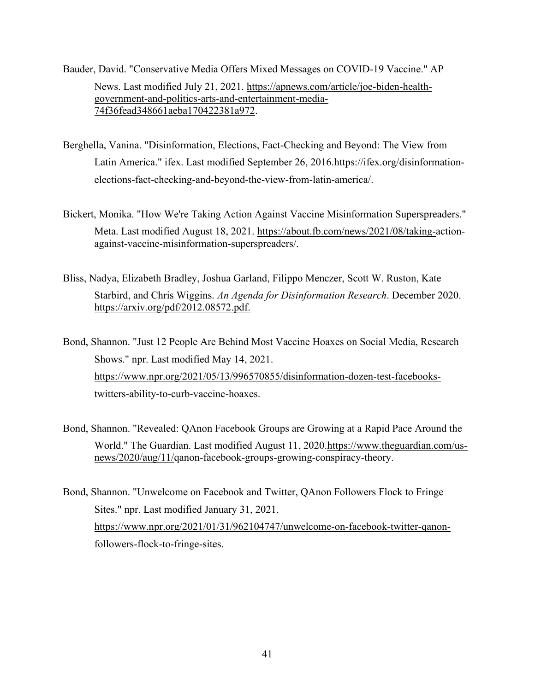- Bauder, David. "Conservative Media Offers Mixed Messages on COVID-19 Vaccine." AP News. Last modified July 21, 2021. [https://apnews.com/article/joe-biden-health](https://apnews.com/article/joe-biden-health-government-and-politics-arts-and-entertainment-media-74f36fead348661aeba170422381a972)[government-and-politics-arts-and-entertainment-media-](https://apnews.com/article/joe-biden-health-government-and-politics-arts-and-entertainment-media-74f36fead348661aeba170422381a972)[74f36fead348661aeba170422381a972.](https://apnews.com/article/joe-biden-health-government-and-politics-arts-and-entertainment-media-74f36fead348661aeba170422381a972)
- Berghella, Vanina. "Disinformation, Elections, Fact-Checking and Beyond: The View from Latin America." ifex. Last modified September 26, 2016[.https://ifex.org/d](https://ifex.org/)isinformationelections-fact-checking-and-beyond-the-view-from-latin-america/.
- Bickert, Monika. "How We're Taking Action Against Vaccine Misinformation Superspreaders." Meta. Last modified August 18, 2021. [https://about.fb.com/news/2021/08/taking-a](https://about.fb.com/news/2021/08/taking-)ctionagainst-vaccine-misinformation-superspreaders/.
- Bliss, Nadya, Elizabeth Bradley, Joshua Garland, Filippo Menczer, Scott W. Ruston, Kate Starbird, and Chris Wiggins. *An Agenda for Disinformation Research*. December 2020. <https://arxiv.org/pdf/2012.08572.pdf.>

Bond, Shannon. "Just 12 People Are Behind Most Vaccine Hoaxes on Social Media, Research Shows." npr. Last modified May 14, 2021. [https://www.npr.org/2021/05/13/996570855/disinformation-dozen-test-facebooks](https://www.npr.org/2021/05/13/996570855/disinformation-dozen-test-facebooks-)twitters-ability-to-curb-vaccine-hoaxes.

- Bond, Shannon. "Revealed: QAnon Facebook Groups are Growing at a Rapid Pace Around the World." The Guardian. Last modified August 11, 2020[.https://www.theguardian.com/us](https://www.theguardian.com/us-news/2020/aug/11/)[news/2020/aug/11/q](https://www.theguardian.com/us-news/2020/aug/11/)anon-facebook-groups-growing-conspiracy-theory.
- Bond, Shannon. "Unwelcome on Facebook and Twitter, QAnon Followers Flock to Fringe Sites." npr. Last modified January 31, 2021. [https://www.npr.org/2021/01/31/962104747/unwelcome-on-facebook-twitter-qanon](https://www.npr.org/2021/01/31/962104747/unwelcome-on-facebook-twitter-qanon-)followers-flock-to-fringe-sites.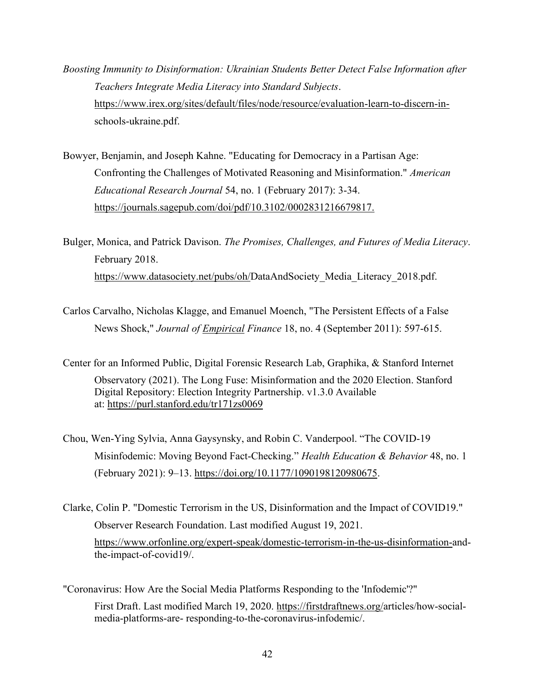*Boosting Immunity to Disinformation: Ukrainian Students Better Detect False Information after Teachers Integrate Media Literacy into Standard Subjects*. [https://www.irex.org/sites/default/files/node/resource/evaluation-learn-to-discern-in](https://www.irex.org/sites/default/files/node/resource/evaluation-learn-to-discern-in-)schools-ukraine.pdf.

Bowyer, Benjamin, and Joseph Kahne. "Educating for Democracy in a Partisan Age: Confronting the Challenges of Motivated Reasoning and Misinformation." *American Educational Research Journal* 54, no. 1 (February 2017): 3-34. <https://journals.sagepub.com/doi/pdf/10.3102/0002831216679817.>

Bulger, Monica, and Patrick Davison. *The Promises, Challenges, and Futures of Media Literacy*. February 2018. [https://www.datasociety.net/pubs/oh/D](https://www.datasociety.net/pubs/oh/)ataAndSociety Media Literacy 2018.pdf.

- Carlos Carvalho, Nicholas Klagge, and Emanuel Moench, "The Persistent Effects of a False News Shock," *Journal of Empirical Finance* 18, no. 4 (September 2011): 597-615.
- Center for an Informed Public, Digital Forensic Research Lab, Graphika, & Stanford Internet Observatory (2021). The Long Fuse: Misinformation and the 2020 Election. Stanford Digital Repository: Election Integrity Partnership. v1.3.0 Available at: <https://purl.stanford.edu/tr171zs0069>
- Chou, Wen-Ying Sylvia, Anna Gaysynsky, and Robin C. Vanderpool. "The COVID-19 Misinfodemic: Moving Beyond Fact-Checking." *Health Education & Behavior* 48, no. 1 (February 2021): 9–13. [https://doi.org/10.1177/1090198120980675.](https://doi.org/10.1177/1090198120980675)
- Clarke, Colin P. "Domestic Terrorism in the US, Disinformation and the Impact of COVID19." Observer Research Foundation. Last modified August 19, 2021. [https://www.orfonline.org/expert-speak/domestic-terrorism-in-the-us-disinformation-a](https://www.orfonline.org/expert-speak/domestic-terrorism-in-the-us-disinformation-)ndthe-impact-of-covid19/.

"Coronavirus: How Are the Social Media Platforms Responding to the 'Infodemic'?" First Draft. Last modified March 19, 2020. [https://firstdraftnews.org/a](https://firstdraftnews.org/)rticles/how-socialmedia-platforms-are- responding-to-the-coronavirus-infodemic/.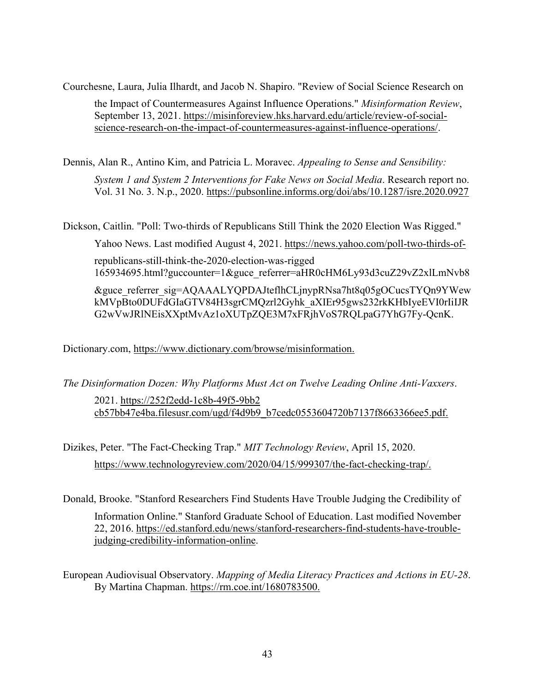Courchesne, Laura, Julia Ilhardt, and Jacob N. Shapiro. "Review of Social Science Research on

the Impact of Countermeasures Against Influence Operations." *Misinformation Review*, September 13, 2021. [https://misinforeview.hks.harvard.edu/article/review-of-social](https://misinforeview.hks.harvard.edu/article/review-of-social-science-research-on-the-impact-of-countermeasures-against-influence-operations/)[science-research-on-the-impact-of-countermeasures-against-influence-operations/.](https://misinforeview.hks.harvard.edu/article/review-of-social-science-research-on-the-impact-of-countermeasures-against-influence-operations/)

Dennis, Alan R., Antino Kim, and Patricia L. Moravec. *Appealing to Sense and Sensibility:* 

*System 1 and System 2 Interventions for Fake News on Social Media*. Research report no. Vol. 31 No. 3. N.p., 2020.<https://pubsonline.informs.org/doi/abs/10.1287/isre.2020.0927>

Dickson, Caitlin. "Poll: Two-thirds of Republicans Still Think the 2020 Election Was Rigged."

Yahoo News. Last modified August 4, 2021.<https://news.yahoo.com/poll-two-thirds-of->

republicans-still-think-the-2020-election-was-rigged

165934695.html?guccounter=1&guce\_referrer=aHR0cHM6Ly93d3cuZ29vZ2xlLmNvb8

&guce\_referrer\_sig=AQAAALYQPDAJteflhCLjnypRNsa7ht8q05gOCucsTYQn9YWew kMVpBto0DUFdGIaGTV84H3sgrCMQzrl2Gyhk\_aXIEr95gws232rkKHbIyeEVI0rIiIJR G2wVwJRlNEisXXptMvAz1oXUTpZQE3M7xFRjhVoS7RQLpaG7YhG7Fy-QcnK.

[Dictionary.com,](http://dictionary.com/)<https://www.dictionary.com/browse/misinformation.>

*The Disinformation Dozen: Why Platforms Must Act on Twelve Leading Online Anti-Vaxxers*. 2021. [https://252f2edd-1c8b-49f5-9bb2](https://252f2edd-1c8b-49f5-9bb2-cb57bb47e4ba.filesusr.com/ugd/)  [cb57bb47e4ba.filesusr.com/ugd/f](https://252f2edd-1c8b-49f5-9bb2-cb57bb47e4ba.filesusr.com/ugd/)4d9b9\_b7cedc0553604720b7137f8663366ee5.pdf.

Dizikes, Peter. "The Fact-Checking Trap." *MIT Technology Review*, April 15, 2020. [https://www.technologyreview.com/2020/04/15/999307/the-fact-checking-trap/.](https://www.technologyreview.com/2020/04/15/999307/the-fact-checking-trap/)

Donald, Brooke. "Stanford Researchers Find Students Have Trouble Judging the Credibility of Information Online." Stanford Graduate School of Education. Last modified November 22, 2016. [https://ed.stanford.edu/news/stanford-researchers-find-students-have-trouble](https://ed.stanford.edu/news/stanford-researchers-find-students-have-trouble-judging-credibility-information-online)[judging-credibility-information-online.](https://ed.stanford.edu/news/stanford-researchers-find-students-have-trouble-judging-credibility-information-online)

European Audiovisual Observatory. *Mapping of Media Literacy Practices and Actions in EU-28*. By Martina Chapman.<https://rm.coe.int/1680783500.>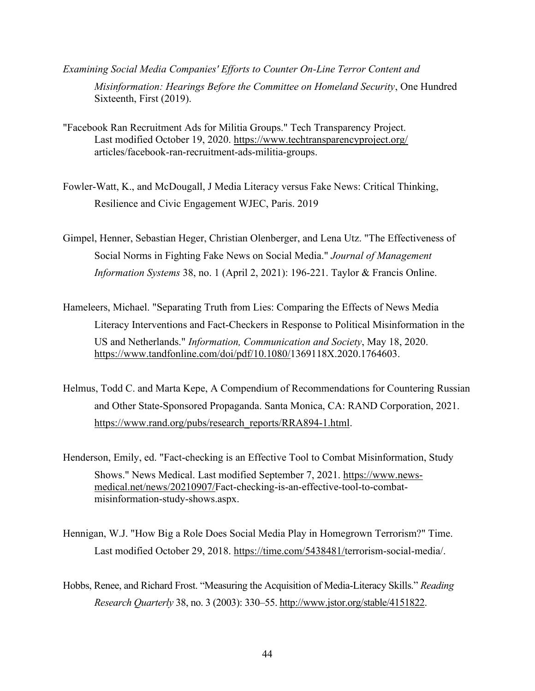- *Examining Social Media Companies' Efforts to Counter On-Line Terror Content and Misinformation: Hearings Before the Committee on Homeland Security*, One Hundred Sixteenth, First (2019).
- "Facebook Ran Recruitment Ads for Militia Groups." Tech Transparency Project. Last modified October 19, 2020.<https://www.techtransparencyproject.org/> articles/facebook-ran-recruitment-ads-militia-groups.
- Fowler-Watt, K., and McDougall, J Media Literacy versus Fake News: Critical Thinking, Resilience and Civic Engagement WJEC, Paris. 2019
- Gimpel, Henner, Sebastian Heger, Christian Olenberger, and Lena Utz. "The Effectiveness of Social Norms in Fighting Fake News on Social Media." *Journal of Management Information Systems* 38, no. 1 (April 2, 2021): 196-221. Taylor & Francis Online.
- Hameleers, Michael. "Separating Truth from Lies: Comparing the Effects of News Media Literacy Interventions and Fact-Checkers in Response to Political Misinformation in the US and Netherlands." *Information, Communication and Society*, May 18, 2020. [https://www.tandfonline.com/doi/pdf/10.1080/1](https://www.tandfonline.com/doi/pdf/10.1080/)369118X.2020.1764603.
- Helmus, Todd C. and Marta Kepe, A Compendium of Recommendations for Countering Russian and Other State-Sponsored Propaganda. Santa Monica, CA: RAND Corporation, 2021. [https://www.rand.org/pubs/research\\_reports/RRA894-1.html.](https://www.rand.org/pubs/research_reports/RRA894-1.html)
- Henderson, Emily, ed. "Fact-checking is an Effective Tool to Combat Misinformation, Study Shows." News Medical. Last modified September 7, 2021. [https://www.news](https://www.news-medical.net/news/20210907/)[medical.net/news/20210907/F](https://www.news-medical.net/news/20210907/)act-checking-is-an-effective-tool-to-combatmisinformation-study-shows.aspx.
- Hennigan, W.J. "How Big a Role Does Social Media Play in Homegrown Terrorism?" Time. Last modified October 29, 2018. [https://time.com/5438481/t](https://time.com/5438481/)errorism-social-media/.
- Hobbs, Renee, and Richard Frost. "Measuring the Acquisition of Media-Literacy Skills." *Reading Research Quarterly* 38, no. 3 (2003): 330–55. [http://www.jstor.org/stable/4151822.](http://www.jstor.org/stable/4151822)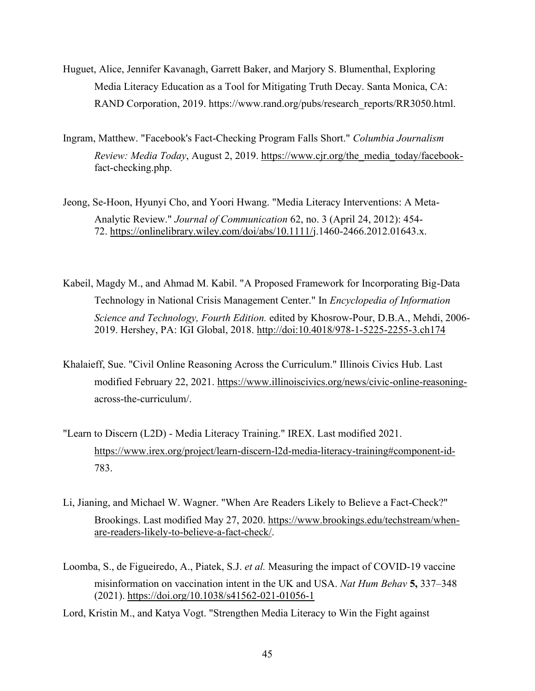- Huguet, Alice, Jennifer Kavanagh, Garrett Baker, and Marjory S. Blumenthal, Exploring Media Literacy Education as a Tool for Mitigating Truth Decay. Santa Monica, CA: RAND Corporation, 2019. https://www.rand.org/pubs/research\_reports/RR3050.html.
- Ingram, Matthew. "Facebook's Fact-Checking Program Falls Short." *Columbia Journalism Review: Media Today*, August 2, 2019. [https://www.cjr.org/the\\_media\\_today/facebook](https://www.cjr.org/the_media_today/facebook-)fact-checking.php.
- Jeong, Se-Hoon, Hyunyi Cho, and Yoori Hwang. "Media Literacy Interventions: A Meta-Analytic Review." *Journal of Communication* 62, no. 3 (April 24, 2012): 454- 72. [https://onlinelibrary.wiley.com/doi/abs/10.1111/j](https://onlinelibrary.wiley.com/doi/abs/10.1111/).1460-2466.2012.01643.x.
- Kabeil, Magdy M., and Ahmad M. Kabil. "A Proposed Framework for Incorporating Big-Data Technology in National Crisis Management Center." In *Encyclopedia of Information Science and Technology, Fourth Edition.* edited by Khosrow-Pour, D.B.A., Mehdi, 2006- 2019. Hershey, PA: IGI Global, 2018.<http://doi:10.4018/978-1-5225-2255-3.ch174>
- Khalaieff, Sue. "Civil Online Reasoning Across the Curriculum." Illinois Civics Hub. Last modified February 22, 2021. [https://www.illinoiscivics.org/news/civic-online-reasoning](https://www.illinoiscivics.org/news/civic-online-reasoning-)across-the-curriculum/.
- "Learn to Discern (L2D) Media Literacy Training." IREX. Last modified 2021. <https://www.irex.org/project/learn-discern-l2d-media-literacy-training#component-id->783.
- Li, Jianing, and Michael W. Wagner. "When Are Readers Likely to Believe a Fact-Check?" Brookings. Last modified May 27, 2020. [https://www.brookings.edu/techstream/when](https://www.brookings.edu/techstream/when-are-readers-likely-to-believe-a-fact-check/)[are-readers-likely-to-believe-a-fact-check/.](https://www.brookings.edu/techstream/when-are-readers-likely-to-believe-a-fact-check/)
- Loomba, S., de Figueiredo, A., Piatek, S.J. *et al.* Measuring the impact of COVID-19 vaccine misinformation on vaccination intent in the UK and USA. *Nat Hum Behav* **5,** 337–348 (2021).<https://doi.org/10.1038/s41562-021-01056-1>
- Lord, Kristin M., and Katya Vogt. "Strengthen Media Literacy to Win the Fight against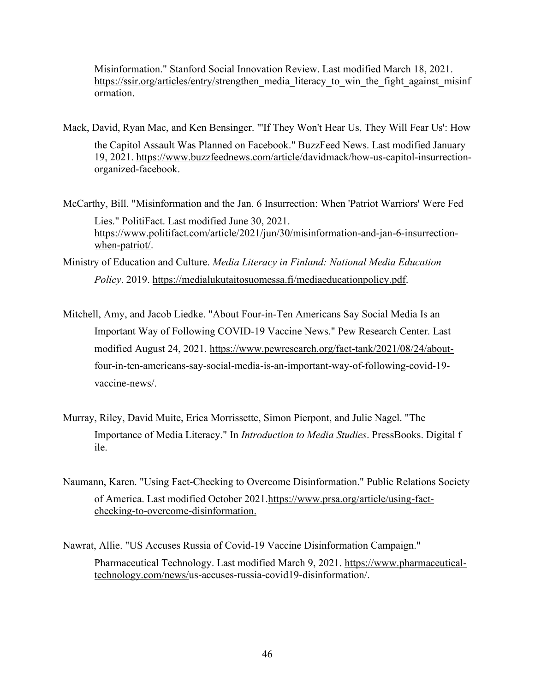Misinformation." Stanford Social Innovation Review. Last modified March 18, 2021. [https://ssir.org/articles/entry/s](https://ssir.org/articles/entry/)trengthen\_media\_literacy\_to\_win\_the\_fight\_against\_misinf ormation.

- Mack, David, Ryan Mac, and Ken Bensinger. "'If They Won't Hear Us, They Will Fear Us': How the Capitol Assault Was Planned on Facebook." BuzzFeed News. Last modified January 19, 2021. [https://www.buzzfeednews.com/article/d](https://www.buzzfeednews.com/article/)avidmack/how-us-capitol-insurrectionorganized-facebook.
- McCarthy, Bill. "Misinformation and the Jan. 6 Insurrection: When 'Patriot Warriors' Were Fed Lies." PolitiFact. Last modified June 30, 2021. [https://www.politifact.com/article/2021/jun/30/misinformation-and-jan-6-insurrection](https://www.politifact.com/article/2021/jun/30/misinformation-and-jan-6-insurrection-when-patriot/)[when-patriot/.](https://www.politifact.com/article/2021/jun/30/misinformation-and-jan-6-insurrection-when-patriot/)
- Ministry of Education and Culture. *Media Literacy in Finland: National Media Education Policy*. 2019. [https://medialukutaitosuomessa.fi/mediaeducationpolicy.pdf.](https://medialukutaitosuomessa.fi/mediaeducationpolicy.pdf)
- Mitchell, Amy, and Jacob Liedke. "About Four-in-Ten Americans Say Social Media Is an Important Way of Following COVID-19 Vaccine News." Pew Research Center. Last modified August 24, 2021. [https://www.pewresearch.org/fact-tank/2021/08/24/about](https://www.pewresearch.org/fact-tank/2021/08/24/about-)four-in-ten-americans-say-social-media-is-an-important-way-of-following-covid-19 vaccine-news/.
- Murray, Riley, David Muite, Erica Morrissette, Simon Pierpont, and Julie Nagel. "The Importance of Media Literacy." In *Introduction to Media Studies*. PressBooks. Digital f ile.
- Naumann, Karen. "Using Fact-Checking to Overcome Disinformation." Public Relations Society of America. Last modified October 2021[.https://www.prsa.org/article/using-fact](https://www.prsa.org/article/using-fact-checking-to-overcome-disinformation.)[checking-to-overcome-disinformation.](https://www.prsa.org/article/using-fact-checking-to-overcome-disinformation.)
- Nawrat, Allie. "US Accuses Russia of Covid-19 Vaccine Disinformation Campaign." Pharmaceutical Technology. Last modified March 9, 2021. [https://www.pharmaceutical](https://www.pharmaceutical-technology.com/news/)[technology.com/news/u](https://www.pharmaceutical-technology.com/news/)s-accuses-russia-covid19-disinformation/.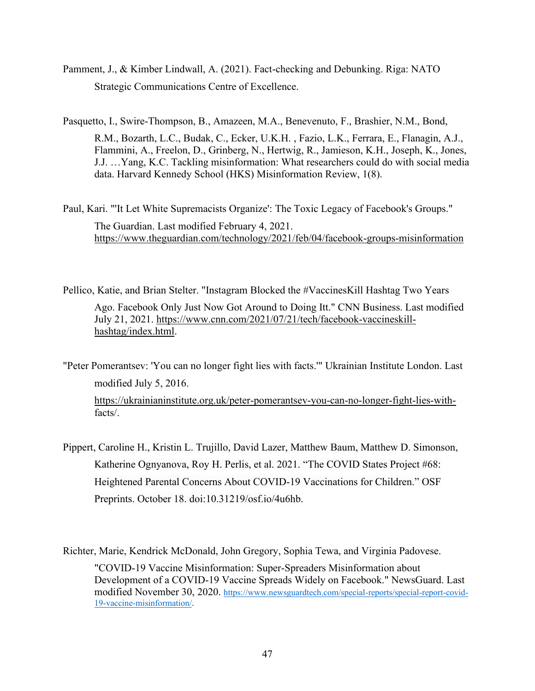- Pamment, J., & Kimber Lindwall, A. (2021). Fact-checking and Debunking. Riga: NATO Strategic Communications Centre of Excellence.
- Pasquetto, I., Swire-Thompson, B., Amazeen, M.A., Benevenuto, F., Brashier, N.M., Bond,

R.M., Bozarth, L.C., Budak, C., Ecker, U.K.H. , Fazio, L.K., Ferrara, E., Flanagin, A.J., Flammini, A., Freelon, D., Grinberg, N., Hertwig, R., Jamieson, K.H., Joseph, K., Jones, J.J. …Yang, K.C. Tackling misinformation: What researchers could do with social media data. Harvard Kennedy School (HKS) Misinformation Review, 1(8).

Paul, Kari. "'It Let White Supremacists Organize': The Toxic Legacy of Facebook's Groups." The Guardian. Last modified February 4, 2021. <https://www.theguardian.com/technology/2021/feb/04/facebook-groups-misinformation>

Pellico, Katie, and Brian Stelter. "Instagram Blocked the #VaccinesKill Hashtag Two Years Ago. Facebook Only Just Now Got Around to Doing Itt." CNN Business. Last modified July 21, 2021. [https://www.cnn.com/2021/07/21/tech/facebook-vaccineskill](https://www.cnn.com/2021/07/21/tech/facebook-vaccineskill-hashtag/index.html)[hashtag/index.html.](https://www.cnn.com/2021/07/21/tech/facebook-vaccineskill-hashtag/index.html)

"Peter Pomerantsev: 'You can no longer fight lies with facts.'" Ukrainian Institute London. Last modified July 5, 2016. [https://ukrainianinstitute.org.uk/peter-pomerantsev-you-can-no-longer-fight-lies-with](https://ukrainianinstitute.org.uk/peter-pomerantsev-you-can-no-longer-fight-lies-with-)facts/.

Pippert, Caroline H., Kristin L. Trujillo, David Lazer, Matthew Baum, Matthew D. Simonson, Katherine Ognyanova, Roy H. Perlis, et al. 2021. "The COVID States Project #68: Heightened Parental Concerns About COVID-19 Vaccinations for Children." OSF Preprints. October 18. doi:10.31219/osf.io/4u6hb.

Richter, Marie, Kendrick McDonald, John Gregory, Sophia Tewa, and Virginia Padovese. "COVID-19 Vaccine Misinformation: Super-Spreaders Misinformation about Development of a COVID-19 Vaccine Spreads Widely on Facebook." NewsGuard. Last modified November 30, 2020. [https://www.newsguardtech.com/special-reports/special-report-covid-](https://www.newsguardtech.com/special-reports/special-report-covid-19-vaccine-misinformation/)[19-vaccine-misinformation/.](https://www.newsguardtech.com/special-reports/special-report-covid-19-vaccine-misinformation/)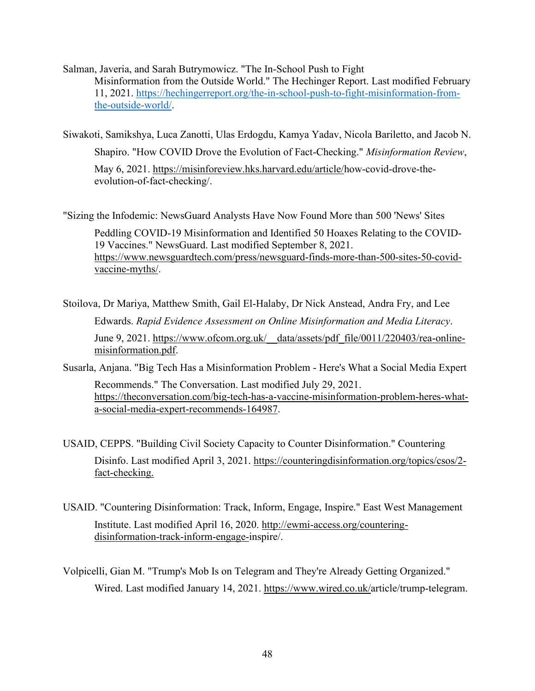Salman, Javeria, and Sarah Butrymowicz. "The In-School Push to Fight Misinformation from the Outside World." The Hechinger Report. Last modified February 11, 2021. [https://hechingerreport.org/the-in-school-push-to-fight-misinformation-from](https://hechingerreport.org/the-in-school-push-to-fight-misinformation-from-the-outside-world/)[the-outside-world/.](https://hechingerreport.org/the-in-school-push-to-fight-misinformation-from-the-outside-world/)

Siwakoti, Samikshya, Luca Zanotti, Ulas Erdogdu, Kamya Yadav, Nicola Bariletto, and Jacob N. Shapiro. "How COVID Drove the Evolution of Fact-Checking." *Misinformation Review*,

May 6, 2021. [https://misinforeview.hks.harvard.edu/article/h](https://misinforeview.hks.harvard.edu/article/)ow-covid-drove-theevolution-of-fact-checking/.

"Sizing the Infodemic: NewsGuard Analysts Have Now Found More than 500 'News' Sites

Peddling COVID-19 Misinformation and Identified 50 Hoaxes Relating to the COVID-19 Vaccines." NewsGuard. Last modified September 8, 2021. [https://www.newsguardtech.com/press/newsguard-finds-more-than-500-sites-50-covid](https://www.newsguardtech.com/press/newsguard-finds-more-than-500-sites-50-covid-vaccine-myths/)[vaccine-myths/.](https://www.newsguardtech.com/press/newsguard-finds-more-than-500-sites-50-covid-vaccine-myths/)

Stoilova, Dr Mariya, Matthew Smith, Gail El-Halaby, Dr Nick Anstead, Andra Fry, and Lee Edwards. *Rapid Evidence Assessment on Online Misinformation and Media Literacy*. June 9, 2021. https://www.ofcom.org.uk/ data/assets/pdf file/0011/220403/rea-online[misinformation.pdf.](https://www.ofcom.org.uk/__data/assets/pdf_file/0011/220403/rea-online-misinformation.pdf)

- Susarla, Anjana. "Big Tech Has a Misinformation Problem Here's What a Social Media Expert Recommends." The Conversation. Last modified July 29, 2021. [https://theconversation.com/big-tech-has-a-vaccine-misinformation-problem-heres-what](https://theconversation.com/big-tech-has-a-vaccine-misinformation-problem-heres-what-a-social-media-expert-recommends-164987)[a-social-media-expert-recommends-164987.](https://theconversation.com/big-tech-has-a-vaccine-misinformation-problem-heres-what-a-social-media-expert-recommends-164987)
- USAID, CEPPS. "Building Civil Society Capacity to Counter Disinformation." Countering Disinfo. Last modified April 3, 2021. [https://counteringdisinformation.org/topics/csos/2](https://counteringdisinformation.org/topics/csos/2-fact-checking.) [fact-checking.](https://counteringdisinformation.org/topics/csos/2-fact-checking.)
- USAID. "Countering Disinformation: Track, Inform, Engage, Inspire." East West Management Institute. Last modified April 16, 2020. [http://ewmi-access.org/countering](http://ewmi-access.org/countering-disinformation-track-inform-engage-)[disinformation-track-inform-engage-i](http://ewmi-access.org/countering-disinformation-track-inform-engage-)nspire/.
- Volpicelli, Gian M. "Trump's Mob Is on Telegram and They're Already Getting Organized." Wired. Last modified January 14, 2021. [https://www.wired.co.uk/a](https://www.wired.co.uk/)rticle/trump-telegram.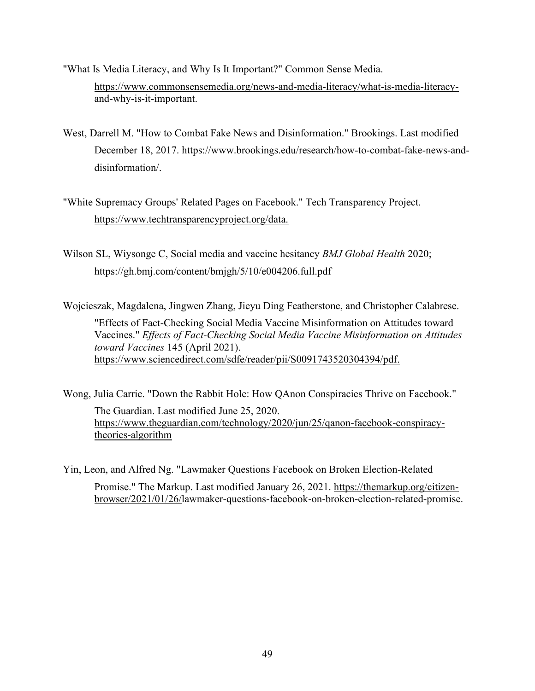"What Is Media Literacy, and Why Is It Important?" Common Sense Media. [https://www.commonsensemedia.org/news-and-media-literacy/what-is-media-literacy](https://www.commonsensemedia.org/news-and-media-literacy/what-is-media-literacy-)and-why-is-it-important.

- West, Darrell M. "How to Combat Fake News and Disinformation." Brookings. Last modified December 18, 2017. [https://www.brookings.edu/research/how-to-combat-fake-news-and](https://www.brookings.edu/research/how-to-combat-fake-news-and-)disinformation/.
- "White Supremacy Groups' Related Pages on Facebook." Tech Transparency Project. <https://www.techtransparencyproject.org/data.>
- Wilson SL, Wiysonge C, Social media and vaccine hesitancy *BMJ Global Health* 2020; https://gh.bmj.com/content/bmjgh/5/10/e004206.full.pdf

Wojcieszak, Magdalena, Jingwen Zhang, Jieyu Ding Featherstone, and Christopher Calabrese.

"Effects of Fact-Checking Social Media Vaccine Misinformation on Attitudes toward Vaccines." *Effects of Fact-Checking Social Media Vaccine Misinformation on Attitudes toward Vaccines* 145 (April 2021). <https://www.sciencedirect.com/sdfe/reader/pii/S0091743520304394/pdf.>

Wong, Julia Carrie. "Down the Rabbit Hole: How QAnon Conspiracies Thrive on Facebook." The Guardian. Last modified June 25, 2020. [https://www.theguardian.com/technology/2020/jun/25/qanon-facebook-conspiracy](https://www.theguardian.com/technology/2020/jun/25/qanon-facebook-conspiracy-theories-algorithm)[theories-algorithm](https://www.theguardian.com/technology/2020/jun/25/qanon-facebook-conspiracy-theories-algorithm)

Yin, Leon, and Alfred Ng. "Lawmaker Questions Facebook on Broken Election-Related

Promise." The Markup. Last modified January 26, 2021. [https://themarkup.org/citizen](https://themarkup.org/citizen-browser/2021/01/26/)[browser/2021/01/26/l](https://themarkup.org/citizen-browser/2021/01/26/)awmaker-questions-facebook-on-broken-election-related-promise.